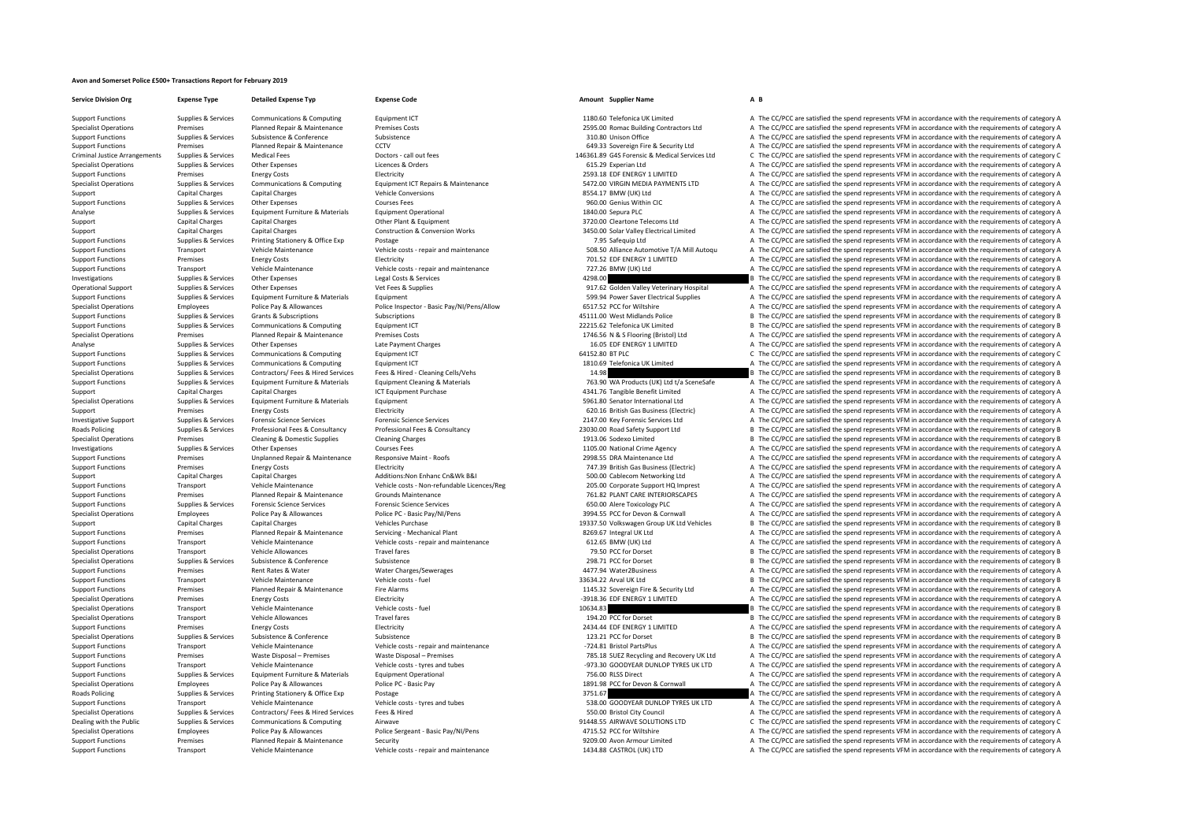## **Avon and Somerset Police £500+ Transactions Report for February 2019**

**Service Division Org Expense Type Detailed Expense Typ Expense Code Amount Supplier Name A B**

Support Functions Supplies & Services Communications & Computing Equipment ICT a satisfied a state of category A The CC/PCC are satisfied the spend represents VFM in accordance with the requirements of category A Specialist Operations Premises Planned Repair & Maintenance Premises Costs 2595.00 Romac Building Contractors Ltd A The CC/PCC are satisfied the spend represents VFM in accordance with the requirements of category A Support Functions Supporters Subsistence Subsistence Subsistence Subsistence Subsistence Subsistence Subsistence Subsistence Subsistence Subsistence Subsistence Subsistence Subsistence Subsistence Subsistence Subsistence S Support Functions Premises Planned Repair & Maintenance CCTV CCT CCT CCT CCT COM CONTENT A The CC/PCC are satisfied the spend represents VFM in accordance with the requirements of category A Criminal Justice Arrangements Supplies & Services Medical Fees Doctors call out fees Doctors call out fees Doctors call out fees Doctors and the Service of the Service of the COPCC are satisfied the spend represents VFM in Specialist Operations Supplies & Services Other Expenses Licences & Orders Licences & Orders Licences & Orders 615.29 Experian Ltd A The CC/PCC are satisfied the spend represents VFM in accordance with the requirements of Support Functions Premises Energy Costs Electricity Electricity Electricity Electricity Electricity and Electricity and the category A The CC/PCC are satisfied the spend represents VFM in accordance with the requirements o Supplies & Supplies & Services Communications & Computing Equipment ICT Repairs & Maintenance 5472.00 VIRGIN MEDIA PAYMENTS LTD A The CC/PCC are satisfied the spend represents VFM in accordance with the requirements of cat Support Capital Charges Capital Charges Capital Charges Vehicle Conversions 8554.17 BMW (UK) Ltd A The CC/PCC are satisfied the spend represents VFM in accordance with the requirements of category A Specialist Operations Employees Police Pay & Allowances Police Sergeant - Basic Pay/NI/Pens 4715.52 PCC for Wiltshire A The CC/PCC are satisfied the spend represents VFM in accordance with the requirements of category A Support Functions Premises Planned Repair & Maintenance Security Security 9209.00 Avon Armour Limited A The CC/PCC are satisfied the spend represents VFM in accordance with the requirements of category A The Criterian and Support Functions Transport Vehicle Maintenance Vehicle costs – repair and maintenance 1434.88 CASTROL (UK) LTD A The CC/PCC are satisfied the spend represents VFM in accordance with the requirements of category A

Support Functions Supplies & Services Other Expenses Courses Fees Courses Fees Courses Fees Pervices Courses Fees Pervices Courses Fees Courses Fees Support The Service of The CO/PCC are satisfied the spend represents VFM Analyse Supplies & Services Equipment Furniture & Materials Equipment Operational Equipment Operational 1840.00 Sepura PLC A The CC/PCC are satisfied the spend represents VFM in accordance with the requirements of category Support Capital Charges Capital Charges Capital Charges Other Plant & Equipment Other Plant & Equipment and Support and a The CC/PCC are satisfied the spend represents VFM in accordance with the requirements of category A Support Capital Charges Capital Charges Capital Charges Construction & Conversion Works Support Construction and the CC/PCC are satisfied the spend represents VFM in accordance with the requirements of category A Support E Support Functions Support Printing Services Printing Stationary & Office Exp Postage 7.95 Safeguin Ltd A The CC/PCC are satisfied the spend represents VFM in accordance with the requirements of category A The CC/PCC are sa Transport Vehicle Maintenance Vehicle costs - repair and maintenance SOB.50 Alliance Automotive T/A Mill Autoqu A The CC/PCC are satisfied the spend represents VFM in accordance with the requirements of category A Energy C Premises Energy Costs Electricity Electricity and the spend represents VFM in accordance with the requirements of category A Support Functions Transport Vehicle Maintenance Vehicle costs – repair and maintenance Vehicle Costs – repair and maintenance 727.26 BMW (UK) Ltd A The CC/PCC are satisfied the spend represents VFM in accordance with the r Investigations Supplies & Services Other Expenses Legal Costs & Services And the Services And the service and the spend represents VFM in accordance with the requirements of category B and the category B and the category B Opplies & Supplies Supplies Supplies A Supplies Other Expenses Vet Fees & Supplies Vet Fees & Supplies Veterinary Hospital A The CC/PCC are satisfied the spend represents VFM in accordance with the requirements of category Support Functions Supplies & Services Equipment Furniture & Materials Equipment Equipment Equipment Equipment<br>Support Functions Specialist Derator of The CC/PCC are satisfied the spend represents VFM in accordance with the Employees Police Pay & Allowances Police Inspector - Basic Pay/NI/Pens/Allow 6517.52 PCC for Wiltshire A The CC/PCC are satisfied the spend represents VFM in accordance with the requirements of category A Support Functions Supplies & Services Grants & Subscriptions Subscriptions Subscriptions Subscriptions Subscriptions Subscriptions and the satisfied the Subscription of the CC/PCC are satisfied the spend represents VFM in Support Functions Supplies & Services Communications & Computing Equipment ICT 22215.62 Telefonica UK Limited B The CC/PCC are satisfied the spend represents VFM in accordance with the requirements of category B Support Fu Specialist Operations Premises Planned Repair & Maintenance Premises Costs 1746.56 N & S Flooring (Reistol) Ltd A The CC/PCC are satisfied the spend represents VFM in accordance with the requirements of category A Analyse Supplies & Services Other Expenses Late Payment Charges Late Payment Charges Late Payment Charges Late Payment Charges Late Payment Charges 16.05 EDF ENERGY 1 LIMITED A The CC/PCC are satisfied the spend represents Communications & Computing Equipment ICT Equipment CT COMPUTE COMPUTE COMPUTER CONSIDENCE COMPUTER CONSIDENCE ARE CONSIDENCE A The CC/PCC are satisfied the spend represents VFM in accordance with the requirements of catego Support Functions Supplies & Services Communications & Computing Equipment ICT Equipment ICT 1810.69 Telefonica UK Limited A The CC/PCC are satisfied the spend represents VFM in accordance with the requirements of category Specialist Operations Supplies & Services Contractors/ Fees & Hired Services Fees & Hired - Cleaning Cells/Vehs 14.98 1981 and the media of the CC/PCC are satisfied the spend represents VFM in accordance with the requireme Sunnort Functions Sunning & Services Foundment Functions & Materials Foundment Cleaning & Materials Materials Control and Materials 76390 MA Products (IIK) It to 12 a The CC/PCC are satisfied the spend represents VEM in ac Support Capital Charges Capital Charges Capital Charges Anterial CT Equipment Purchase 1CT Equipment Purchase 4341.76 Tangible Benefit Limited A The CC/PCC are satisfied the spend represents VFM in accordance with the requ Equipment **Equipment** Special Senator International Ltd A The CC/PCC are satisfied the spend represents VFM in accordance with the requirements of category A Support Premises Energy Costs Electricity Electricity and the spend represents (Electricity 620.16 British Gas Business (Electricity A The CC/PCC are satisfied the spend represents VFM in accordance with the requirements o Investigative Support Supplies & Services Forensic Science Services Forensic Science Services Forensic Science Services Forensic Science Services exprises to the CALC A The CC/PCC are satisfied the spend represents VFM in Currence Suppliers Reported Professional Fees & Consultancy Professional Fees & Consultancy Professional Fees & Consultancy Professional Fees & Consultancy Professional Fees & Consultancy Professional Fees & Consultancy Pr Specialist Operations Premises Cleaning & Domestic Supplies Cleaning Charges Cleaning Charges 1913.06 Sodexo Limited B The CC/PCC are satisfied the spend represents VFM in accordance with the requirements of category B Investigations Supplies & Services Other Expenses Courses Fees Courses Fees Courses Fees 1105.00 National Crime Agency A The CC/PCC are satisfied the spend represents VFM in accordance with the requirements of category A S Premises Unplanned Repair & Maintenance Responsive Maint - Roofs 2998.55 DRA Maintenance Ltd A The CC/PCC are satisfied the spend represents VFM in accordance with the requirements of category A Support Functions Premises Energy Costs Electricity Electricity Electricity Electricity Electricity Function Electricity and the media and the CONVERGILLERT A The CC/PCC are satisfied the spend represents VFM in accordance Support Capital Charges Capital Charges Capital Charges Additions:Non Enhanc Cn&Wk B&I 500.00 Cablecom Networking Ltd A The CC/PCC are satisfied the spend represents VFM in accordance with the requirements of category A Ve Support Functions Transport Wobile Maintenance Wobile once Wobile costs - Non-refundable Licence(Reg 2015 00 Connected Cumport HO Immest a The CC/DCC are catisfied the speared NAM accordance with the requirements of catego Support Functions Premises Planned Repair & Maintenance Grounds Maintenance Grounds Maintenance 761.82 PLANT CARE INTERIORSCAPES A The CC/PCC are satisfied the spend represents VFM in accordance with the requirements of ca Support Functions Supplies & Services Forensic Science Services Forensic Science Services 650.00 Alere Toxicology PLC A The CC/PCC are satisfied the spend represents VFM in accordance with the requirements of category A Specialist Operations Employees Police Pay & Allowances Police PC - Basic Pay/NI/Pens 3994.55 PCC for Devon & Cornwall A The CC/PCC are satisfied the spend represents VFM in accordance with the requirements of category A Support Capital Charges Capital Charges Capital Charges Vehicles Vehicles Vehicles 19337.50 Volkswagen Group UK Ltd Vehicles B The CC/PCC are satisfied the spend represents VFM in accordance with the requirements of catego Support Functions Services Planned Repair & Maintenance Servicing Mechanical Plant 8269.67 Integral UK Ltd A The CC/PCC are satisfied the spend represents VFM in accordance with the requirements of category A Support Functions Transport Vehicle Maintenance Vehicle Costs - repair and maintenance Vehicle Costs - repair and maintenance and a maintenance of the Support A The CC/PCC are satisfied the spend represents VFM in accordan Transport Vehicle Allowances Travel fares Travel fares Travel fares and the content of category B The CC/PCC are satisfied the spend represents VFM in accordance with the requirements of category B Subsidence Subsidence Su Specialist Operations Supplies & Services Subsistence Subsistence Subsistence Subsistence Subsistence Subsistence Subsistence Subsistence Subsistence Subsistence Subsistence Subsistence Subsistence Subsistence Subsistence Support Functions Premises Rent Rates & Water Water Charges/Sewerages 4477.94 Water2Business A The CC/PCC are satisfied the spend represents VFM in accordance with the requirements of category A Vehicle Maintenance Vehicle Support Functions Transport Vehicle Maintenance Vehicle costs ‐ fuel 33634.22 Arval UK Ltd B The CC/PCC are satisfied the spend represents VFM in accordance with the requirements of category B Support Functions Premises Planned Repair & Maintenance Fire Alarms Fire Alarms 1145.32 Sovereign Fire & Security Ltd A The CC/PCC are satisfied the spend represents VFM in accordance with the requirements of category A Sp Premises Energy Costs Electricity Electricity Electricity entergy A The CO/PCC are satisfied the spend represents VFM in accordance with the requirements of category A The Corporations are satisfied the spend represents V Specialist Operations Transport Vehicle Maintenance Vehicle Costs – fuel Vehicle Costs Fuel Vehicle Maintenance Vehicle Costs Fuel Vehicle Costs Fuel 10634.83 B The CC/PCC are satisfied the spend represents VFM in accordan Specialist Operations Transport Vehicle Allowances Travel fares Travel fares Travel fares Travel fares Travel fares 194.20 PCC for Dorset B The CC/PCC are satisfied the spend represents VFM in accordance with the requireme Support Functions Premises Premises Premises Energy Costs Electricity Electricity Electricity 2434.44 EDF ENERGY 1 LIMITED A The CC/PCC are satisfied the spend represents VFM in accordance with the requirements of category Specialist Operations Supplies & Services Subsistence Subsistence Subsistence Subsistence Subsistence Subsistence Subsistence Subsistence Subsistence Subsistence Subsistence Subsistence Subsistence Vehicle costs repair and Support Vehicle Maintenance Vehicle costs – repair and maintenance – 724.81 Bristol PartsPlus A The CC/PCC are satisfied the spend represents VFM in accordance with the requirements of category A The Criteria and the resul Support Functions Premises Waste Disposal – Premises Waste Disposal – Premises Waste Disposal – Premises Waste Disposal – Premises Waste Disposal – Premises Waste Disposal – Premises 785.18 SUEZ Recycling and Recovery UK L Support Functions Transport Vehicle Maintenance Vehicle Costs – tyres and tubes – 973.30 GOODYEAR DUNLOP TYRES UK LTD A The CC/PCC are satisfied the spend represents VFM in accordance with the requirements of category A Su Support Functions Support Support Functions Equipment Equipment Contact A The CONSTAGE A The CC/PC are satisfied the spend represents VFM in accordance with the requirements of category A Specialist Operations Employees Police Pay & Allowances Police PC – Basic Pay Police PC – Basic Pay 1891.98 PCC for Devon & Cornwall A The CC/PCC are satisfied the spend represents VFM in accordance with the requirements o Postage Supplies and the Supplies and the Services of Category A The CC/PCC are satisfied the spend represents VFM in accordance with the requirements of category A The CC/PCC are satisfied the spend represents VFM in acco Support Functions Transport Vehicle Maintenance Vehicle costs - tyres and tubes 538.00 GOODYEAR DUNLOP TYRES UK LTD A The CC/PCC are satisfied the spend represents VFM in accordance with the requirements of category A Specialist Operations Supplies & Services Contractors/ Fees & Hired Services Fees & Hired The Services Fees & Hired Services Fees & Hired Services Fees & Hired Services Fees & Hired Services Services Fees & Hired Services Dealing with the Public Supplies & Services Communications & Computing Airwave Airwave 91448.55 AIRWAVE SOLUTIONS LTD C The CC/PCC are satisfied the spend represents VFM in accordance with the requirements of category C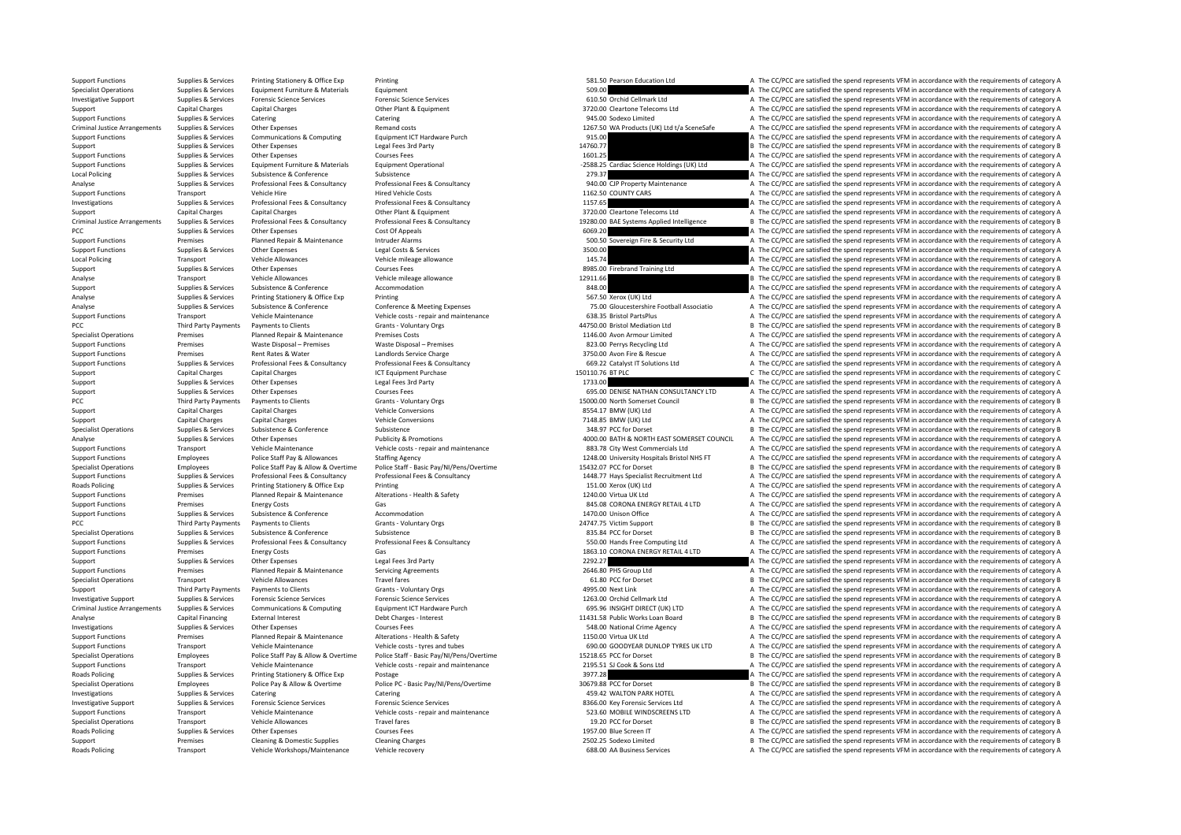Transport Vehicle Workshops/Maintenance Vehicle recovery examples a recovery a category of the CC/PCC are satisfied the spend represents VFM in accordance with the requirements of category A

Support Functions Supplies & Services Printing Stationery & Office Exp Printing Stationery & Office Exp Printing 581.50 Pearson Education Ltd Station Ltd A The CC/PCC are satisfied the spend represents VFM in accordance wi Specialist Operations Supplies & Services Equipment Furniture & Materials Equipment Furniture & Materials Equipment 509.00 A The CC/PCC are satisfied the spend represents VFM in accordance with the requirements of category Investigative Support Supplies & Services Forensic Science Services Forensic Science Services Forensic Science Services Forensic Science Services Forensic Science Services and Development of category A The CC/PCC are satis Support Capital Charges Capital Charges Other Plant & Equipment Other Plant A The CC/PCC are satisfied the spend represents VFM in accordance with the requirements of category A Support Functions Supplies & Services Catering Catering Catering Catering Catering Catering Catering Catering Catering Catering Catering Catering Catering Category A The CC/PCC are satisfied the spend represents VFM in acc Criminal Justice Arrangements Supplies & Services Other Expenses Remand costs Remand costs 1267.50 WA Products (UK) Ltd t/a SceneSafe A The CC/PCC are satisfied the spend represents VFM in accordance with the requirements Support Functions Supporters Services Communications & Computing Faulthornt ICT Hardware Purch 915.00 915.00 A The CC/PCC are satisfied the spend represents VFM in accordance with the requirements of category A Suppoint Supplies & Services Other Expenses Legal Fees 3rd Party 14760.77 14760.77 B The CC/PCC are satisfied the spend represents VFM in accordance with the requirements of category B Support Functions Supplies & Services Other Expenses Courses Fees Courses Fees 1601.25 A The CC/PCC are satisfied the spend represents VFM in accordance with the requirements of category A Support Functions Courses Fees 16 Supplies & Services Equipment Furniture & Materials Equipment Operational 2588.25 Cardiac Science Holdings (UK) Ltd A The CC/PCC are satisfied the spend represents VFM in accordance with the requirements of category A Local Policing Supplies & Services Subsistence Subsistence Subsistence Subsistence Subsistence Subsistence Subsistence Subsistence Subsistence Subsistence Subsistence Subsistence Subsistence Subsistence Subsistence Subsist Analyse environment and the second areas of the Supplies & Services Professional Fees & Consultancy Professional Fees & Consultancy Professional Fees & Consultancy Professional Fees & Consultancy and the consultance and th Support Functions Transport Vehicle Hire Wehicle Engine Hired Vehicle Costs Hired Vehicle Costs 1162.50 COUNTY CARS A The CC/PCC are satisfied the spend represents VFM in accordance with the requirements of category A The Investigations Supplies & Services Professional Fees & Consultancy Professional Fees & Consultancy Professional Fees & Consultancy Professional Fees & Consultancy 1157.65 A The CC/PCC are satisfied the spend represents VFM Support Capital Charges Capital Charges Capital Charges Other Plant & Equipment 3720.00 Cleartone Telecoms Ltd A The CC/PCC are satisfied the spend represents VFM in accordance with the requirements of category A Criminal lustice Arrangements Sunnlies & Services Professional Fees & Consultancy Professional Fees & Consultancy Professional Fees & Consultancy Professional Fees & Consultancy Professional Fees & Consultancy Professional expenses Cost Of Appeals Cost Of Appeals Cost Of Appeals Cost Of Appeals Cost Of Appeals Cost Of Appeals Cost Of Appeals Cost Of Appeals Cost Of Appeals Cost of Appeals Cost of Appeals Cost of Appeals Cost of Appeals Cost Support Functions Premises Planned Repair & Maintenance Intruder Alarms 500.50 Sovereign Fire & Security Ltd A The CC/PCC are satisfied the spend represents VFM in accordance with the requirements of category A Support Functions Supplies & Services Other Expenses Legal Costs & Services Legal Costs A Cell Costs Category A SERVICE are satisfied the spend represents VFM in accordance with the requirements of category A Legal Costs A Local Policians<br>A The CC/PCC are satisfied the spend represents VFM in accordance with the requirements of category A Support Support Support Services Other Expenses Courses Fees Courses Fees and the service of the CC/PCC are satisfied the spend represents VFM in accordance with the requirements of category A Analyse Transport Vehicle Allowances Vehicle mileage allowance Vehicle mileage allowance Vehicle mileage allowance 12911.66 B The CC/PCC are satisfied the spend represents VFM in accordance with the requirements of categor Support Support Support Subsistence Subsistence Accommodation and accommodation 848.00 A The CC/PC are satisfied the spend represents VFM in accordance with the requirements of category A Analyse Supplies & Services Printing Stationery & Office Exp Printing Stationery & Office Exp Printing 567.50 Xerox (UK) Ltd A The CC/PCC are satisfied the spend represents VFM in accordance with the requirements of catego Analyse Supplies & Services Subsistence & Conference Conference & Meeting Expenses 75.00 Gloucestershire Football Associatio A The CC/PCC are satisfied the spend represents VFM in accordance with the requirements of category A Support Functions Transport Vehicle Maintenance Vehicle costs - repair and maintenance Vehicle Costs - repair and maintenance and the COSS.35 Bristol PartsPlus A The CC/PCC are satisfied the spend represents VFM in accorda PCC Third Party Payments Payments to Clients Grants Voluntary Orgs Grants Crants Crants Crants Crants Crants Crants Crants Crants Crants Crants Crants Crants Crants Crants Crants Crants Crants Crants Crants Crants Crants C Specialist Operations Premises Planned Repair & Maintenance Premises Costs Premises Costs 1146.00 Avon Armour Limited A The CC/PCC are satisfied the spend represents VFM in accordance with the requirements of category A Support Functions Premises Premises Waste Disposal – Premises Waste Disposal – Premises Waste Disposal – Premises Waste Disposal – Premises Waste Disposal – Premises Waste Disposal – Premises 823.00 Perrys Recycle and Disp Premises Rent Rates & Water Landlords Service Charge 2012 3750.00 Avon Fire & Rescue A The CC/PCC are satisfied the spend represents VFM in accordance with the requirements of category A Supplies & Supplies & Services Professional Fees & Consultancy Professional Fees & Consultancy Professional Fees & Consultancy Professional Fees & Consultancy Professional Fees & Consultancy Professional Fees & Consultancy Support Capital Charges Capital Charges Capital Charges ICT Equipment Purchase 150110.76 BT PLC 1902 2010.76 BT PLC COMPOS 2011 COMPOS CONFIDENT CONTROLLER CONFIDENT CONTROLLER SUPPORT AT A CONFIDENT CONFIDENT CONFIDENT CO Support Support Support Other Expenses Legal Fees 3rd Party 1733.00 A The CC/PC are satisfied the spend represents VFM in accordance with the requirements of category A Support Supplies & Services Other Expenses Courses Fees Courses Fees Courses Fees 695.00 DENISE NATHAN CONSULTANCY LTD A The CC/PCC are satisfied the spend represents VFM in accordance with the requirements of category B<br>P B The CC/PCC are satisfied the spend represents VFM in accordance with the requirements of category B Support Capital Charges Capital Charges Papital Charges Vehicle Conversions Vehicle Conversions 8554.17 BMW (UK) Ltd A The CC/PCC are satisfied the spend represents VFM in accordance with the requirements of category A Support Capital Charges Capital Charges Vehicle Conversions Vehicle Conversions 7148.85 BMW (UK) Ltd A The CC/PCC are satisfied the spend represents VFM in accordance with the requirements of category A Specialist Operations Supplies & Services Subsistence Subsistence Subsistence Subsistence Subsistence Subsistence Subsistence Subsistence Subsistence Subsistence Subsistence Subsistence Subsistence Subsistence Subsistence Analyse Supplies & Services Other Expenses Publicity & Promotions Publicity & Promotions Analyse Analyse Analyse COUNCIL A The CC/PCC are satisfied the spend represents VFM in accordance with the requirements of category A Support Functions Transport Vehicle Maintenance Vehicle Costs - repair and maintenance Vehicle costs - repair and maintenance and the Support Commercials Ltd A The CC/PCC are satisfied the spend represents VFM in accordanc Support Functions Employees Police Staff Pay & Allowances Staffing Agency 1248.00 University Hospitals Bristol NHS FT A The CC/PCC are satisfied the spend represents VFM in accordance with the requirements of category A Specialist Operations Employees Police Staff Pay & Allow & Overtime Police Staff - Basic Pay/NI/Pens/Overtime<br>
Support Functions Supplies & Services Professional Fees & Consultancy Professional Fees & Consultancy Professio Support Functions Supplies & Services Professional Fees & Consultancy Professional Fees & Consultancy Professional Fees & Consultancy Professional Fees & Consultancy Professional Fees & Consultancy Professional Fees & Cons Roads Policing Supplies Services Printing Stationery & Office Exp Printing Printing Printing 2016 Contents 151.00 Xerox (UK) Ltd A The CC/PCC are satisfied the spend represents VFM in accordance with the requirements of ca Support Functions Premises Planned Repair & Maintenance Alterations - Health & Safety 1240.00 Virtua UK Ltd A The CC/PCC are satisfied the spend represents VFM in accordance with the requirements of category A Support Func Premises Energy Costs Gas Gas Gas Gas CORONA ENERGY RETAIL 4 LTD A The CC/PCC are satisfied the spend represents VFM in accordance with the requirements of category A Support of the spend represents VFM in accordance with Support Functions Support Support Support Support Support Accommodation Accommodation and the context of category A The CC/PCC are satisfied the spend represents VFM in accordance with the requirements of category A PCC Third Party Payments Payments of Clients Grants Columbary Orgs Grants Payments Grants Columbary Orgs 24747.75 Victim Support 24747.75 Victim Support B The CC/PCC are satisfied the spend represents VFM in accordance wit Specialist Operations Supplies & Services Subsistence Subsistence Subsistence Subsistence Subsistence Subsistence Subsistence Subsistence Subsistence Subsistence Subsistence Subsistence Subsistence Subsistence B and the CO Support Functions Supplies & Services Professional Fees & Consultancy Professional Fees & Consultancy Professional Fees & Consultancy Cases Consultancy SUD. COND Hands Free Computing Ltd A The CC/PCC are satisfied the spen Energy Costs Cas Control Casts Gas 1863.10 CORONA ENERGY RETAIL 4 LTD A The CC/PCC are satisfied the spend represents VFM in accordance with the requirements of category A Support in a cost of the result of the requirement Support Supplies Supplies & Services Other Expenses Legal Fees 3rd Party Legal Fees 3rd Party 2292.27 229.27 A The CC/PCC are satisfied the spend represents VFM in accordance with the requirements of category A Services Pa Support Functions Premises Planned Repair & Maintenance Servicing Agreements 2646.80 PHS Group Ltd A The CC/PCC are satisfied the spend represents VFM in accordance with the requirements of category A The Croup Ltd A The C Specialist Operations Transport Vehicle Allowances Travel fares Travel fares Travel fares Travel fares Travel fares and the spend represents VFM in accordance with the requirements of category B Sheet Greenor A Sheet B She Support Third Party Payments Payments of Clients Grants - Voluntary Orgs Grants - Voluntary Orgs and A The COPCC are satisfied the spend represents VFM in accordance with the requirements of category A Clients Cranted Cran Investigative Support Supplies & Services Forensic Science Services Forensic Science Services Forensic Science Services Forensic Science Services Forensic Science Services Forensic Science Services Forensic Science Service Criminal Justice Arrangements Supplies & Services Communications & Computing Equipment ICT Hardware Purch example to the SUP COMENT ON SUPPORT ON SUPPORT ON THE COPCC are satisfied the spend represents VFM in accordance wi Analyse Capital Financing External Interest Debt Charges - Interest Debt Charges - Interest Debt Charges - Interest 11431.58 Public Works Loan Board B The CC/PCC are satisfied the spend represents VFM in accordance with th Investigations Supplies Services Other Expenses Courses Fees Supplies The COURS Courses Fees 548.00 National Crime Agency A The CC/PCC are satisfied the spend represents VFM in accordance with the requirements of category Support Functions Premises Planned Repair & Maintenance Alterations - Health & Safety 1150.00 Virtua UK Ltd A The CC/PCC are satisfied the spend represents VFM in accordance with the requirements of category A The CC/PC ar Support Functions Transport Vehicle Maintenance Vehicle costs – tyres and tubes 690.00 GOODYEAR DUNLOP TYRES UK LTD A The CC/PCC are satisfied the spend represents VFM in accordance with the requirements of category A Specialist Operations Employees Police Staff Pay & Allow & Overtime Police Staff - Basic Pay/NI/Pens/Overtime 15218.65 PCC for Dorset Basic Pay Allow A Detailed the spend the requirements of category B Support Functions Transport Vehicle Maintenance Vehicle costs - repair and maintenance 2195.51 SJ Cook & Sons Ltd A The CC/PCC are satisfied the spend represents VFM in accordance with the requirements of category A Real o Roads Policing Supplies Republies A Services Printing Stationery & Office Exp Postage 3977.28 A The CC/PCC are satisfied the spend represents VFM in accordance with the requirements of category A Specialist Operations Employees Employees Police Pay & Allow & Overtime Police PC - Basic Pay/N/Pens/Overtime<br>
Suppliers (attering catering Catering Catering Catering Catering Catering Catering Catering Catering Catering Investigations Supplies & Services Catering Catering Catering Catering Catering Catering Catering Catering Catering Catering Catering Catering Catering Catering Catering Catering Catering Catering Catering Catering Categor Investigative Support Support Supportes Supportes Supportes Forensic Science Services Forensic Science Services Forensic Science Services Forensic Science Services exportes Supported as a same and the CC/PCC are satisfied Support Functions Transport Vehicle Maintenance Vehicle Costs - repair and maintenance S23.60 MOBILE WINDSCREENS LTD A The CC/PCC are satisfied the spend represents VFM in accordance with the requirements of category A Specialist Operations Transport Vehicle Allowances Travel fares Travel fares Travel fares Travel fares Travel fares and the content of category B The CC/PCC are satisfied the spend represents VFM in accordance with the req Roads Policing Supplies & Services Other Expenses Courses Fees Courses Fees 1957.00 Blue Screen IT A The CC/PCC are satisfied the spend represents VFM in accordance with the requirements of category A Support Premises Cleaning & Domestic Supplies Cleaning Charges Cleaning Charges 2502.25 Sodexo Limited B The CC/PCC are satisfied the spend represents VFM in accordance with the requirements of category B and spend represe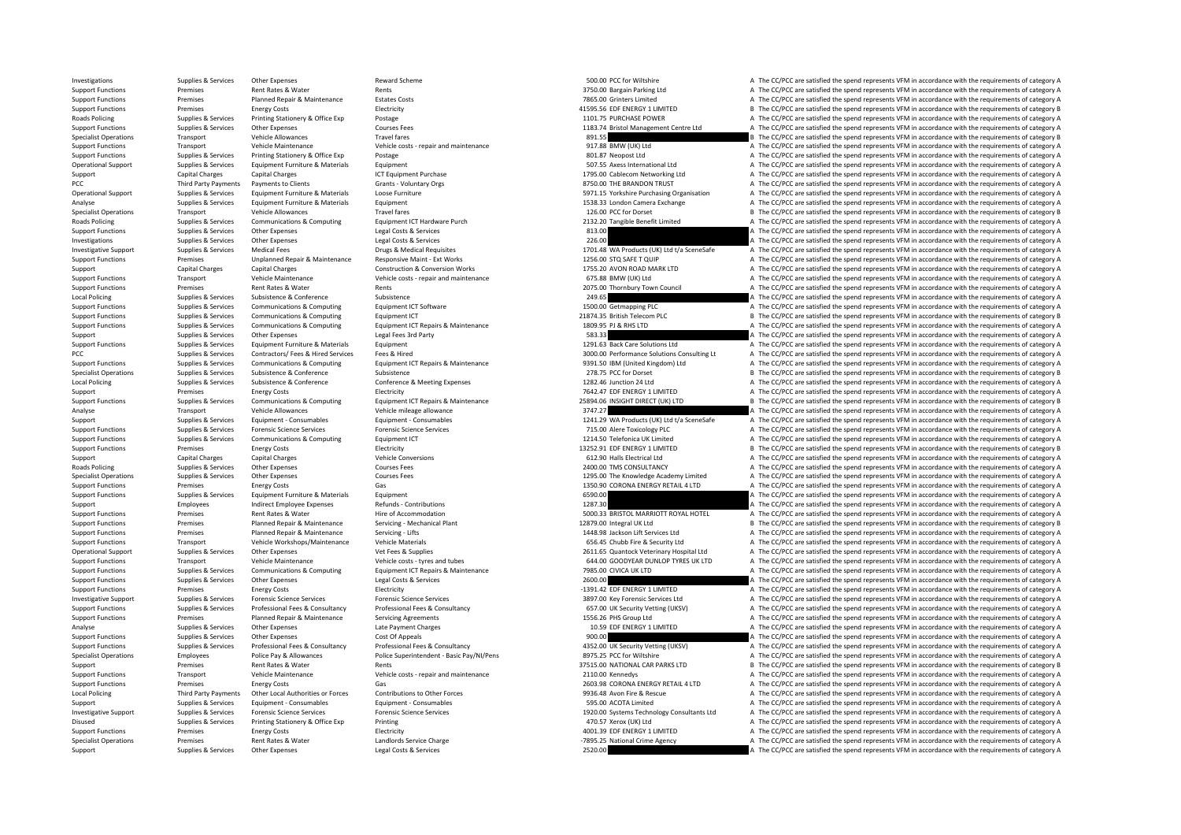Support Support Support Other Expenses Legal Costs & Services 2520.00 A The CC/PCC are satisfied the spend represents VEM in accordance with the requirements of category A

Specialist Operations Premises Premises Rent Rates & Water Landlords Service Charge Landlords Service Charge Landlords Service Charge Landlords Service Charge Crime Agency -7895.25 National Crime Agency A The CC/PCC are sa

Investigations Supplies & Services Other Expenses Neward Scheme Supplies Reward Scheme 500.00 PCC for Wiltshire A The CC/PCC are satisfied the spend represents VFM in accordance with the requirements of category A Support Functions Premises Rent Rates & Water Rents Rents Rents Rents Rents Rents Rents Rents Rents Rents Rents Rents Rents Rents Rents Rents Rents Rents Rents Rents Rents Rents Rents Rents Rents Rents Rents Rents Rents Re Support Functions Premises Planned Repair & Maintenance Estates Costs 7865.00 Grinters Limited 7865.00 Grinters Limited A The CC/PCC are satisfied the spend represents VFM in accordance with the requirements of category A Energy Costs **Electricity** Electricity and the support A1595.56 EDF ENERGY 1 LIMITED and The CC/PCC are satisfied the spend represents VFM in accordance with the requirements of category B Printing Stationery & Office Exp Roads Policing Supplies & Services Printing Stationery & Office Exp Postage Protage 1101.75 PURCHASE POWER A The CC/PCC are satisfied the spend represents VFM in accordance with the requirements of category A Support Functions Supplies & Services Other Expenses Courses Fees Courses Fees 1183.74 Bristol Management Centre Ltd A The CC/PCC are satisfied the spend represents VFM in accordance with the requirements of category A Specialist Operations Transport Vehicle Allowances Travel fares Travel fares and the spend requirements of category B The CC/PCC are satisfied the spend represents VFM in accordance with the requirements of category B Support Functions Transport Vehicle Maintenance Vehicle Costs - repair and maintenance 917.88 BMW (UK) Ltd A The CC/PCC are satisfied the spend represents VFM in accordance with the requirements of category A Support Functions Supplies & Services Printing Stationery & Office Exp Postage Principal Postage 801.87 Neopost Ltd A The CC/PCC are satisfied the spend represents VFM in accordance with the requirements of category A Cher Operational Support Supplies & Services Equipment Furniture & Materials Equipment Equipment Equipment Support Support Support Support Support Support Support Support Support Support Support Support Support Support Support Support Capital Charges Capital Charges Capital Charges ICT Equipment Purchase 1795.00 Cablecom Networking Ltd A The CC/PCC are satisfied the spend represents VFM in accordance with the requirements of category A The Cripp PCC Third Party Payments Payments of Clients Grants → Crants → Voluntary Orgs Grants → Voluntary Orgs 8750.00 THE BRANDON TRUST A The CC/PCC are satisfied the spend represents VFM in accordance with the requirements of c Operational Support Supplies & Services Equipment Furniture & Materials Loose Furniture Conservant Community Community Community Community Community Community Community Community Community Community Community Community Com Analyse Supplies & Services Equipment Furniture & Materials Equipment Equipment and the state of the Services Equipment A The CC/PCC are satisfied the spend represents VFM in accordance with the requirements of category A Transport Vehicle Allowances Travel fares Travel fares Travel fares and the Travel fares and the CONSECT of Dorset Category B The CC/PCC are satisfied the spend represents VFM in accordance with the requirements of categor Roads Policing Supplies & Supplies & Services Communications & Computing Equipment ICT Hardware Purch<br>
Support Functions Analysis And Support of the Expenses of the Support of the COMPAC distance with the requirements of c Support Functions Supplies & Services Other Expenses Legal Costs & Services Legal Costs & Services Legal Costs & Services 813.00 A The CC/PCC are satisfied the spend represents VFM in accordance with the requirements of ca Investigations Supplies Services Other Expenses Legal Costs & Services 226.00 A The CC/PC are satisfied the spend represents VFM in accordance with the requirements of category A The CC/PC are satisfied the spend represent Investigative Support Supplies & Services Medical Fees Drugs & Medical Requisites Drugs & Medical Requisites Drugs & Medical Requisites Drugs & Medical Requisites and the media and the media and the CC/PCC are satisfied th Premises Unplanned Repair & Maintenance Responsive Maint - Ext Works 1256.00 STQ SAFET QUIP A The CC/PCC are satisfied the spend represents VFM in accordance with the requirements of category A Support Capital Charges Capital Charges Capital Charges Construction & Conversion Works 1755.20 AVON ROAD MARK LTD A The CC/PCC are satisfied the spend represents VFM in accordance with the requirements of category A Vehic Support Functions Transport Vehicle Maintenance Vehicle costs - repair and maintenance Vehicle costs - repair and maintenance and a Support Costs and COPC are satisfied the spend represents VFM in accordance with the requi Support Functions Premises Premises Rent Rates & Water Rents Rents Rents Rents Rents Rents Rents Rents 2075.00 Thornbury Town Council A The CC/PCC are satisfied the spend represents VFM in accordance with the requirements Local Policing Supplies Subsistence Subsistence Subsistence Subsistence Subsistence Subsistence Subsistence Subsistence 249.65 A The CC/PCC are satisfied the spend represents VFM in accordance with the requirements of cate Support Functions Supplies & Services Communications & Computing Equipment ICT Software 1500.00 Getmapping PLC A The CC/PCC are satisfied the spend represents VFM in accordance with the requirements of category A Support Functions Supplies & Services Communications & Computing Equipment ICT Equipment ICT 20174.35 British Telecom PLC Baritsh Telecom PLC B The CC/PCC are satisfied the spend represents VFM in accordance with the requi Support Functions Supplies & Services Communications & Computing Equipment ICT Repairs & Maintenance 1809.95 PJ & RHS LTD A The CC/PCC are satisfied the spend represents VFM in accordance with the requirements of category Support Support Support Services Other Expenses Legal Fees 3rd Party 583.33 Services and the CC/PC are satisfied the spend represents VFM in accordance with the requirements of category A Support Functions Supplies & Services Equipment Furniture & Materials Equipment Equipment 1291.63 Back Care Solutions Ltd A The CC/PCC are satisfied the spend represents VFM in accordance with the requirements of category PCC Supplies A Supplies A Service Contractors Consulting Lt A The CC/PCC are satisfied the spend represents VFM in accordance with the requirements of category A The CC/PC are satisfied the spend represents VFM in accordan Supplies & Services Communications & Computing Equipment ICT Repairs & Maintenance 9391.50 IBM (United Kingdom) Ltd A The CC/PCC are satisfied the spend represents VFM in accordance with the requirements of category A Specialist Operations Supplies & Services Subsistence Subsistence Subsistence Subsistence Subsistence Subsistence 2016 Subsistence Subsistence Subsistence Subsistence Subsistence Subsistence Subsistence 2016 Subsistence Co Local Policing Supplies Services Subsistence & Conference Conference Conference Conference Conference Conference Conference Conference Conferences 1282.46 Junction 24 Ltd A The CC/PCC are satisfied the spend represents VFM Support Premises Energy Costs Energy Costs Electricity Electricity Electricity Electricity Electricity Electricity Electricity and the magnetic The analysis and the CONSC are satisfied the spend represents VFM in accordanc B The CC/PCC are satisfied the spend represents VFM in accordance with the requirements of category B Analyse Transport Vehicle Allowances Vehicle mileage allowance Vehicle mileage allowance vehicle mileage allowance 3747.27 A The CC/PCC are satisfied the spend represents VFM in accordance with the requirements of category Support Supplies & Services Equipment - Consumables Equipment - Consumables Equipment - Consumables Equipment - Consumables Equipment - Consumables and the spend represents VFM in accordance with the requirements of catego Support Functions Supporters Forensic Science Services Forencic Science Services Forencic Science Services Forencic Science Services Forencic Science Services Forencic Science Services Forencic Science Services Forencic Sc Support Functions Supplies & Services Communications & Computing Equipment ICT examples and the state of the COMPUTER Telefonica UK Limited A The CC/PCC are satisfied the spend represents VFM in accordance with the require Support Functions Premises Energy Costs Energy Costs Electricity Electricity Electricity Electricity Electricity Electricity and the spend represents of the Support B The CC/PCC are satisfied the spend represents VFM in ac Support Capital Charges Capital Charges Support Capital Charges Vehicle Conversions of the Conversions 612.90 Halls Electrical Itd A The CC/PCC are satisfied the spend represents VFM in accordance with the requirements of Roads Policing Supplies & Supplies & Services Other Expenses 2000 Courses Fees 2000 Courses Fees 2400.00 TMS CONSULTANCY 2000.00 TMS CONSULTANCY A The CC/PCC are satisfied the spend represents VFM in accordance with the re Specialist Operations Supplies & Services Other Expenses Courses Fees Courses Fees 1295.00 The Knowledge Academy Limited A The CC/PCC are satisfied the spend represents VFM in accordance with the requirements of category A Support Functions Support Premises Energy Costs Gas 1350.90 CORONA ENERGY RETAIL 4 LTD A The CC/PCC are catisfied the spend represents VFM in accordance with the requirements of category A Support Functions Supplies & Services Equipment Furniture & Materials Equipment Equipment Equipment Equipment Equipment Equipment and the Support of the Service of the CC/PCC are satisfied the spend represents VFM in accor Support Functions and Employees and indirect Employee Expenses Refunds Contributions Refunds contributions and the contributions 1287.30 A The CC/PCC are satisfied the spend represents VFM in accordance with the requirem Support Functions Premises Rent Rates & Water Hire of Accommodation Hire of Accommodation 5000.33 BRISTOL MARRIOTT ROYAL HOTEL A The CC/PCC are satisfied the spend represents VFM in accordance with the requirements of cate Support Functions Premises Planned Repair & Maintenance Servicing - Mechanical Plant 12879.00 Integral UK Ltd B The CC/PCC are satisfied the spend represents VFM in accordance with the requirements of category B Servicing Support Functions Premises Planned Repair & Maintenance Servicing – Lifts 1448.98 Jackson Lift Services Ltd A The CC/PCC are satisfied the spend represents VFM in accordance with the requirements of category A Support Functions Transport Vehicle Workshops/Maintenance Vehicle Materials vehicle Materials 656.45 Chubb Fire & Security Ltd A The CC/PCC are satisfied the spend represents VFM in accordance with the requirements of cate Operational Support Support Support Supplies A Service CONCC are satisfied the spend represents VFM in accordance with the requirements of category A<br>A The CC/PCC are satisfied the spend represents VFM in accordance with Support Functions Transport Vehicle Maintenance Vehicle costs – tyres and tubes vehicle costs – tyres and tubes<br>Support Functions Support Functions of the CONTENTING CONTENTING THE CONTENTING CONTENTING THE CONTENTING THE<br> Support Functions Supplies & Services Communications & Computing Equipment ICT Repairs & Maintenance 7985.00 CIVICA UK LTD A The CC/PCC are satisfied the spend represents VFM in accordance with the requirements of category Support Functions Supplies & Services Other Expenses Legal Costs & Services 2600.00 2600.00 A The CC/PCC are satisfied the spend represents VFM in accordance with the requirements of category A Support Functions Premises Premises Energy Costs Energy Costs Electricity Electricity Electricity Electricity Electricity Electricity Electricity energy and the spend represents VFM in accordance with the requirements of c Investigative Support Supplies & Services Forensic Science Services Forensic Science Services Forensic Science Services Forensic Science Services exprises to the San David Care and Say 7.00 Key Forensic Services Ltd A The Supplies & Services Professional Fees & Consultancy Professional Fees & Consultancy Professional Fees & Consultancy Professional Fees & Consultancy Professional Fees & Consultancy Professional Fees & Consultancy Profession Support Functions Premises Planned Repair & Maintenance Servicing Agreements 1599 Servicing Agreements 1556.26 PHS Group Ltd A The CC/PCC are satisfied the spend represents VFM in accordance with the requirements of catego Analyse Supplies Services Other Expenses Late Payment Charges Late Payment Charges 10.59 EDF ENERGY 1 LIMITED A The CC/PCC are satisfied the spend represents VEM in accordance with the requirements of category A Support Functions Supplies & Services Other Expenses Cost Of Appeals Cost Of Appeals Cost Of Appeals Cost Of Appeals Cost Of Appeals and the Service of Appeals and the COPCC are satisfied the spend represents VFM in accord Support Functions Supplies & Services Professional Fees & Consultancy Professional Fees & Consultancy Professional Fees & Consultancy Professional Fees & Consultancy Professional Fees & Consultancy Professional Fees & Cons Specialist Operations Employees Police Pay & Allowances Police Superintendent - Basic Pay/NI/Pens and a server and the CC/PCC are satisfied the spend represents VFM in accordance with the requirements of category A Police Support Premises Rent Rates & Water Rents Rents Rents Rents Rents and maintenance 37515.00 NATIONAL CAR PARKS LTD B The CC/PCC are satisfied the spend represents VFM in accordance with the requirements of category B vehicl Support Functions Transport Vehicle Maintenance Vehicle costs repair and maintenance 2110.00 Kennedys 2010.00 Kennedys A The CC/PCC are satisfied the spend represents VFM in accordance with the requirements of category A Support Functions Premises Premises Energy Costs Gas Gas Gas Contributions to Cher Forces Costs Gas 2603.98 CORONA ENERGY RETAIL 4 LTD A The CC/PCC are satisfied the spend represents VFM in accordance with the requirements A The CC/PCC are satisfied the spend represents VFM in accordance with the requirements of category A Support Supplies & Services Equipment - Consumables Equipment - Consumables Equipment - Consumables Equipment - Consumables Equipment - Consumables Equipment - Consumables Equipment - Consumables Equipment - Consumables A Investigative Support Supplies & Services Forensic Science Services Forensic Science Services Forensic Science Services Forensic Science Services Forensic Science Services and the comparator of the CC/PCC are satisfied the Disused Supplies & Services Printing Stationery & Office Exp Printing and Stationery A The CC/PCC are satisfied the spend represents VFM in accordance with the requirements of category A Support Functions Premises Energy Costs Electricity Electricity A Support FUNCTED A The CC/PCC are satisfied the spend represents VFM in accordance with the requirements of category A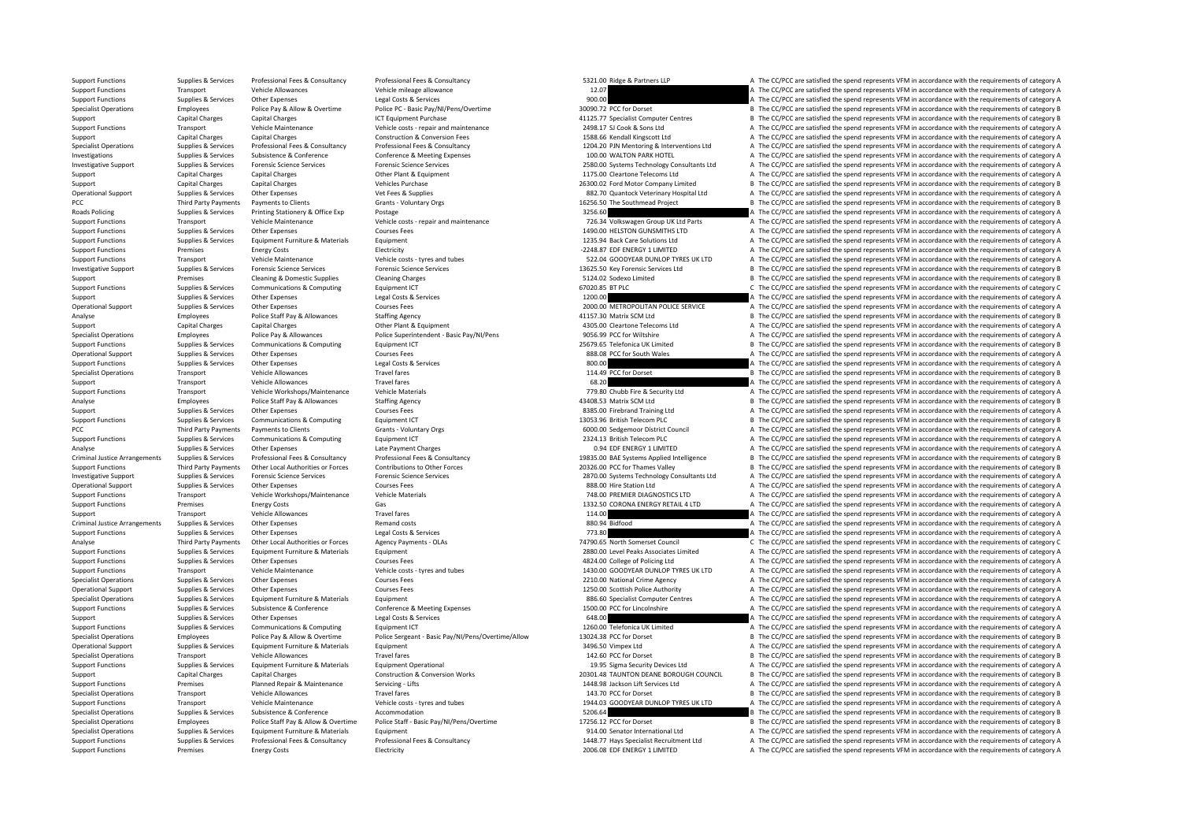Support Functions Premises Energy Costs Electricity Electricity 2006.08 EDF ENERGY 1 LIMITED A The CC/PCC are satisfied the spend represents VFM in accordance with the requirements of category A

Support Functions Supplies & Services Professional Fees & Consultancy Professional Fees & Consultancy Professional Fees & Consultancy Professional Fees & Consultancy Professional Fees & Consultancy Professional Fees & Cons Support Functions Transport Vehicle Allowances Vehicle mileage allowance Vehicle mileage allowance Vehicle mileage allowance Vehicle mileage allowance 12.07 A The CC/PCC are satisfied the spend represents VFM in accordance Support Functions Supplies & Services Other Expenses Legal Costs & Services Legal Costs & Services Legal Costs & Services Police PC - Basic Pay/N/Pens/Overtime Support and the CONCOSTER Support of The CC/PCC are satisfied B The CC/PCC are satisfied the spend represents VFM in accordance with the requirements of category B Support Capital Charges Capital Charges Anti-Browner Centres Anti-Browner Centres Anti-Browner Centres Anti-Browner Centres B The CC/PCC are satisfied the spend represents VFM in accordance with the requirements of categor Support Functions Transport Vehicle Maintenance Vehicle costs - repair and maintenance 2498.17 SJ Cook & Sons Ltd A The CC/PCC are satisfied the spend represents VFM in accordance with the requirements of category A Capital Charges Capital Charges Capital Charges Construction & Conversion Fees 1588.66 Kendall Kingscott Ltd A The CC/PCC are satisfied the spend represents VFM in accordance with the requirements of category A Supplies & Services Professional Fees & Consultancy Professional Fees & Consultancy Professional Fees & Consultancy Professional Fees & Consultancy Professional Fees & Consultancy Professional Fees & Consultancy Profession Investigations Supplies & Services Subsistence & Conference Conference Conference Meeting Expenses 100.00 WALTON PARK HOTEL A The CC/PCC are satisfied the spend represents VFM in accordance with the requirements of categor of the services of the seat of the content of the content of the content of the content of the content of the content of the content of the content of the content of the content of the content of the content of the content Support Capital Charges Capital Charges Capital Charges Other Plant & Equipment 1175.00 Cleartone Telecoms Ltd A The CC/PCC are satisfied the spend represents VFM in accordance with the requirements of category A Support Capital Charges Capital Charges Vehicles Purchase Vehicles Purchase 26300.02 Ford Motor Company Limited B The CC/PCC are satisfied the spend represents VFM in accordance with the requirements of category B Vehicles Operational Support Supplies & Services Other Expenses Vet Fees & Supplies Vet Fees & Supplies 882.70 Quantock Veterinary Hospital Ltd A The CC/PCC are satisfied the spend represents VFM in accordance with the requirements PCC Third Party Payments Payments of Clients Chents Crants Voluntary Orgs Grants Crants Crants Crants Crants Crants Crants Crants Crants Crants Crants and the Southmead Project B The CC/PCC are satisfied the spend represen Postage and Supplies and Supplies Supplies A The CC/PCC are satisfied the spend represents VFM in accordance with the requirements of category A Examport Transport Vehicle Maintenance Vehicle costs - repair and maintenance vehicle costs - repair and maintenance<br>
Support Functions Support Functions Support of the Experience of Courses Fees Courses Fees Courses Fees Support Functions Supplies & Services Other Expenses Courses Fees 1490.00 HELSTON GUNSMITHS AND A The CC/PCC are satisfied the spend represents VFM in accordance with the requirements of category A Services Fees 1490.00 HE Support Functions Supplies & Services Equipment Furniture & Materials Equipment Equipment Equipment 1235.94 Back Care Solutions Ltd A The CC/PCC are satisfied the spend represents VFM in accordance with the requirements of Support Functions Premises Energy Costs Energy Costs Electricity Electricity Electricity Electricity Electricity Electricity entity of the Support ENERGY 1 LIMITED A The CC/PCC are satisfied the spend represents VFM in acc Transport Vehicle Maintenance Vehicle costs – tyres and tubes 522.04 GOODYEAR DUNLOP TYRES UK LTD A The CC/PCC are satisfied the spend represents VFM in accordance with the requirements of category A Investigative Sunnort Sunniles & Services Forensic Science Services Forensic Science Services Forensic Science Services Forensic Science Services environs (Stategory B 13675.50 Key Forensic Services Itd B B The CC/PCC are Support Premises Cleaning & Domestic Supplies Cleaning Charges Cleaning Charges Cleaning Charges S124.02 Sodexo Limited B The CC/PCC are satisfied the spend represents VFM in accordance with the requirements of category B Support Functions Supplies & Services Communications & Computing Equipment ICT Equipment ICT COMPUTING COMPUTING COMPUTING COMPUTING COMPUTING COMPUTING COMPUTING COMPUTING COMPUTING COMPUTING COMPUTING COMPUTING COMPUTING Support Supplies & Services Other Expenses Legal Costs & Services Legal Costs & Services Legal Costs & Services 1200.00 A The CC/PCC are satisfied the spend represents VFM in accordance with the requirements of category A Courses Fees 2000.00 METROPOLITAN POLICE SERVICE A The CC/PCC are satisfied the spend represents VFM in accordance with the requirements of category A Analyse Employees Police Staff Pay & Allowances Staffing Agency Staffing Agency and the Stategory B and a matrix SCM Ltd B The CC/PCC are satisfied the spend represents VFM in accordance with the requirements of category B Support Capital Charges Capital Charges Capital Charges Capital Charges Other Plant & Equipment Charges Other Plant & Equipment Charges Capital Charges Other Plant & Equipment Charges Other Plant & Equipment and Equipment Specialist Operations Employees Employees Police Pay & Allowances Police Superintendent - Basic Pay/NI/Pens 9056.99 PCC for Wiltshire 1997.65 PCC for Wiltshire A The CC/PCC are satisfied the spend represents VFM in accorda Support Functions Supplies & Services Communications & Computing Equipment ICT examples and the state of the COMPOS Telefonica UK Limited B The CC/PCC are satisfied the spend represents VFM in accordance with the requireme Operational Support Support Support Support Support Support Support Support Support Support Support Support Support Support Support Support Support Support Support Support Support Support Support Support Support Support A Support Functions Supplies & Services Other Expenses Legal Costs & Services Legal Costs & Services Legal Costs & Services 800.00 A The CC/PCC are satisfied the spend represents VFM in accordance with the requirements of ca Specialist Operations Transport Vehicle Allowances Travel fares Travel fares and the spend of the CC/PC are satisfied the spend represents VFM in accordance with the requirements of category B and the requirements of categ Support Transport Vehicle Allowances Travel fares Travel fares 68.20 A The CC/PCC are satisfied the spend represents VFM in accordance with the requirements of category A Support Functions Transport Vehicle Workshops/Maintenance Vehicle Materials vehicle Materials 779.80 Chubb Fire & Security Ltd A The CC/PCC are satisfied the spend represents VFM in accordance with the requirements of cate Analyse Employees Police Staff Pay & Allowances Staffing Agency Staffing Agency 43408.53 Matrix SCM Ltd B The CC/PCC are satisfied the spend represents VFM in accordance with the requirements of category B Support Supplies & Services Other Expenses Courses Fees Courses Fees and Courses Fees 8385.00 Firebrand Training Ltd A The CC/PCC are satisfied the spend represents VFM in accordance with the requirements of category A Support Functions Supplies & Services Communications & Computing Equipment ICT and the support Equipment ICT 13053.96 British Telecom PLC B The CC/PCC are satisfied the spend represents VFM in accordance with the requireme PCC Third Party Payments to Clients **Crants Accordance Grants Crants Council** Grants Council A The CC/PCC are satisfied the spend represents VFM in accordance with the requirements of category A Support Functions Supplies & Services Communications & Computing Equipment ICT 2324.13 British Telecom PLC A The CC/PCC are satisfied the spend represents VFM in accordance with the requirements of category A Analyse Supplies & Services Other Expenses Late Payment Charges Late Payment Charges Late Payment Charges Late Payment Charges 0.94 EDF ENERGY 1 LIMITED A The CC/PCC are satisfied the spend represents VFM in accordance wit Supplies & Services Professional Fees & Consultancy Professional Fees & Consultancy Professional Fees & Consultancy Professional Fees & Consultancy Professional Fees & Consultancy Professional Fees & Consultancy Profession Support Functions Third Party Payments Other Iocal Authorities or Forces Contributions to Other Forces Contributions to Other Forces and the recogne of the CONCE of the mes Valley and the CONCE are satisfied the spend repr Investigative Support Supplies & Services Forensic Science Services Forensic Science Services Forensic Science Services Forensic Science Services Forensic Science Services and Support and Developments of category A The CC/ Operational Support Supplies & Services Other Expenses Courses Fees 888.00 Hire Station Ltd A The CC/PCC are satisfied the spend represents VFM in accordance with the requirements of category A Support Functions Transport Vehicle Workshops/Maintenance Vehicle Materials 748.00 PREMIER DIAGNOSTICS LTD A The CC/PCC are satisfied the spend represents VFM in accordance with the requirements of category A Support Funct Premises Energy Costs Gas Gas 1332.50 CORONA ENERGY RETAIL 4 LTD A The CC/PCC are satisfied the spend represents VFM in accordance with the requirements of category A Support Transport Vehicle Allowances Travel fares Travel fares 114.00 A The CC/PCC are satisfied the spend represents VFM in accordance with the requirements of category A Criminal Justice Arrangements Supplies & Services Other Expenses Remand costs Bemand costs Remand costs 880.94 Bidfood A The CC/PCC are satisfied the spend represents VFM in accordance with the requirements of category A T Support Functions Supplies Services Characters Characters Characters Characters Characters Characters Characters Characters Characters Characters Characters in the Services Characters Legal Costs & Services 1993. A The CC/ Analyse Third Party Payments Other Local Authorities or Forces Agency Payments - OLAs 74790.65 North Somerset Council C The CC/PCC are satisfied the spend represents VFM in accordance with the requirements of category C Su Equipment Functions Supplies Associates Limited A The CC/PCC are satisfied the spend represents VFM in accordance with the requirements of category A Support Functions Supplies & Services Other Expenses Courses Fees Courses Fees 4824.00 College of Policing Ltd A The CC/PCC are satisfied the spend represents VFM in accordance with the requirements of category A Vehicle M Support Functions Transport Vehicle Maintenance Vehicle Costs - tyres and tubes 1430.00 GOODYEAR DUNLOP TYRES UK LTD A The CC/PCC are satisfied the spend represents VFM in accordance with the requirements of category A Specialist Operations Supplies & Services Other Expenses Courses Fees Courses Fees 2210.00 National Crime Agency A The CC/PCC are satisfied the spend represents VFM in accordance with the requirements of category A Operational Support Supplies & Services Other Expenses Courses Fees Courses Fees 1250.00 Scottish Police Authority A The CC/PCC are satisfied the spend represents VFM in accordance with the requirements of category A Speci Specialist Computer Centres A The CC/PCC are satisfied the spend represents VFM in accordance with the requirements of category A<br>Conference & Meeting Expenses A The CC/PC are satisfied the spend represents VFM in accordan Support Functions Supplies & Services Subsistence & Conference Conference & Meeting Expenses 1500.00 PCC for Lincolnshire A The CC/PCC are satisfied the spend represents VFM in accordance with the requirements of category Support Supplies & Services Other Expenses Legal Costs & Services Legal Costs & Services Legal Costs & Services Legal Costs & Services Computing Legal Costs & Services Computing Legal Costs & Services Computing Equippone L Support Functions Supporters Communications & Communications Computing Faulthough Equipment ICT 1260.00 Telefonica UK Limited A The CC/PCC are satisfied the spend represents VFM in accordance with the requirements of categ Specialist Operations Employees Employees Police Pay & Allow & Overtime Police Sergeant - Basic Pay/NI/Pens/Overtime/Allow 13024.38 PCC for Dorset Basic Pay B The CC/PCC are satisfied the spend represents VFM in accordance Operational Support Support Support Support Equipment Furniture & Materials Equipment Support Support 3496.50 Vimpex Ltd A The CC/PCC are satisfied the spend represents VFM in accordance with the requirements of category A Specialist Operations Transport Vehicle Allowances Travel fares Travel fares Travel fares and the spend represents VEM in accordance with the requirements of category B Shema Persatist Device in the Spend represents VFM in Supplies & Supples & Supples & Supples & Provides Anterials Equipment Poetational Equipment Deprational Equipment Deprational on the Supplement of the COPCC are satisfied the spend represents VFM in accordance with the req Support Capital Charges Capital Charges Construction & Conversion Works 20301.48 TAUNTON DEANE BOROUGH COUNCIL B The CC/PCC are satisfied the spend represents VFM in accordance with the requirements of category B Support Functions Premises Planned Repair & Maintenance Servicing - Lifts 1448.98 Jackson Lift Services Ltd A The CC/PCC are satisfied the spend represents VFM in accordance with the requirements of category A Travel fares Transport Vehicle Allowances Travel fares Travel fares Travel fares and tubes the Specialist Operations Travel fares and tubes the Specialist Operations of category B The CC/PCC are satisfied the spend represents VFM in ac Support Functions Transport Vehicle Maintenance Vehicle costs - tyres and tubes 1944.03 GOODYEAR DUNLOP TYRES UK LTD A The CC/PCC are satisfied the spend represents VFM in accordance with the requirements of category A Specialist Operations Supplies & Services Subsistence Subsistence Accommodation Accommodation 5206.64 B The CC/PCC are satisfied the spend represents VFM in accordance with the requirements of category B Specialist Operations Fundovers Police Staff Pay & Allow & Overtime Police Staff - Basic Pay/NI/Pens/Overtime 17756.17 PCC for Dorset The CC/PCC are satisfied the spend represents VFM in accordance with the requirements of Specialist Operations Supplies & Services Equipment Furniture & Materials Equipment equipment and the senator International Ltd A The CC/PCC are satisfied the spend represents VFM in accordance with the requirements of cat Supplies & Services Professional Fees & Consultancy Professional Fees & Consultancy Professional Fees & Consultancy<br>Support Functions and Consultance of the service of the Support Flooricity of The Consultance of the Consu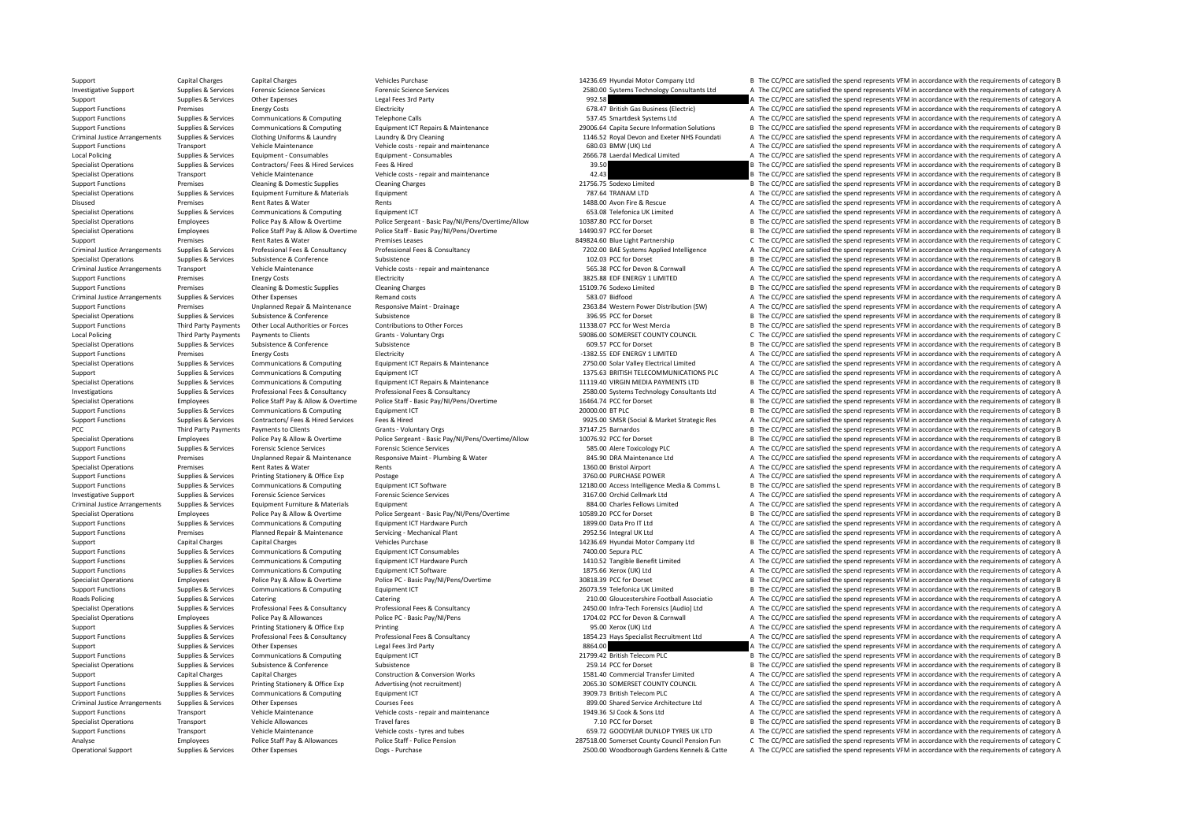Support Capital Charges Capital Charges Vehicles Purchase Vehicles Purchase 14236.69 Hyundai Motor Company Ltd B The CC/PCC are satisfied the spend represents VFM in accordance with the requirements of category B Investigative Support Supplies & Services Forensic Science Services Forensic Science Services Forensic Science Services Forensic Science Services Forensic Science Services Forensic Science Services Forensic Science Service Support Supplies & Services Other Expenses 2012 Cegal Fees 3rd Party Person Cegal Fees 3rd Party Person Cegal Fees 3rd Party 992.58 A The CC/PCC are satisfied the spend represents VFM in accordance with the requirements of Energy Costs Connunications & Computing Electricity Electricity Electricity 678.47 British Gas Business (Electricity 678.47 British Gas Business (Electricity 678.47 British Gas Business (Electricity 678.47 British Gas Busi Support Functions Supplies & Services Communications & Computing Telephone Calls Telephone Calls 537.45 Smartdesk Systems Ltd A The CC/PCC are satisfied the spend represents VFM in accordance with the requirements of categ Supplies & Services Communications & Computing Equipment ICT Repairs & Maintenance 29006.64 Capita Secure Information Solutions B The CC/PCC are satisfied the spend represents VFM in accordance with the requirements of cat Criminal Justice Arrangements Supplies & Services Clothing Uniforms & Laundry Laundry Buy Cleaning Supplies and Development of Criminal Justice Arrangements of category A The CC/PCC are satisfied the spend represents VFM i Support Functions Transport Vehicle Maintenance Vehicle Costs - repair and maintenance Vehicle costs - repair and maintenance 680.03 BMW (UK) Ltd A The CC/PCC are satisfied the spend represents VFM in accordance with the r Local Policing Supplies Supplies & Services Equipment - Consumables Equipment - Consumables Equipment - Consumables Equipment - Consumables Equipment - Consumables 2666.78 Laerdal Medical Limited A The CC/PCC are satisfied Specialist Operations Supplies Supplies The CC/PCC are satisfied the spend represents VFM in accordance with the requirements of category B Specialist Operations Transport Vehicle Maintenance Vehicle costs – repair and maintenance Vehicle Costs – repair and maintenance 42.43 B The CC/PCC are satisfied the spend represents VFM in accordance with the requirement Support Functions Premises Cleaning & Domestic Supplies Cleaning Charges Cleaning Charges 21756.75 Sodexo Limited B The CC/PCC are satisfied the spend represents VFM in accordance with the requirements of category B Second Specialist Operations Supplies & Services Equipment Furniture & Materials Equipment Furniture & Materials Equipment 787.64 TRANAM LTD A The CC/PCC are satisfied the spend represents VFM in accordance with the requirements Disused Premises Premises Rent Rates & Water Rents Rents Rents Rents Rents Rents Rents Rents 1488.00 Avon Fire & Rescue A The CC/PCC are satisfied the spend represents VFM in accordance with the requirements of category A Specialist Operations Supplies A The CC/PCC are satisfied the spend represents VFM in accordance with the requirements of category A Specialist Operations Employees Police Pay & Allow & Overtime Police Sergeant - Basic Pay/NI/Pens/Overtime/Allow 10387.80 PCC for Dorset B The CC/PCC are satisfied the spend represents VFM in accordance with the requiremen Specialist Operations Employees Police Staff Pay & Allow & Overtime Police Staff - Basic Pay/NJ/Pens/Overtime<br>Support of the Demission of Demission of Demission of the CONSTANT CONSTANT CONSTANT CONSTANT CONSTANT CONSTANT Support Premises Rent Rates & Water Premises Leases Premises Leases 849824.60 Blue Light Partnership C The CC/PCC are satisfied the spend represents VFM in accordance with the requirements of category C Security C The CC/P Criminal Justice Arrangements Supplies & Services Professional Fees & Consultancy Professional Fees & Consultancy Professional Fees & Consultancy Professional Fees & Consultancy 7202.00 BAE Systems Applied Intelligence A T B The CC/PCC are satisfied the spend represents VFM in accordance with the requirements of category B Criminal Justice Arrangements Transport Vehicle Maintenance Vehicle costs - repair and maintenance vehicle of the Vehicle COST Perminal Dustice Arrangements of category A The CC/PCC are satisfied the spend represents VFM i Support Functions Premises Energy Costs Electricity Electricity Electricity (Support Functions and the spend represents VFM in accordance with the requirements of category A Electricity Claaming Claaming Claaming Claaming Support Functions Premises Cleaning Arges Cleaning Charges Cleaning Charges Cleaning Charges Cleaning Charges 15109.76 Sodexo Limited B The CC/PCC are satisfied the spend represents VFM in accordance with the requirements Criminal Justice Arrangements Supplies & Services Other Expenses Arrange Services Remand costs Remand costs Service A The CC/PCC are satisfied the spend represents VFM in accordance with the requirements of category A Supp Premises Unplanned Repair & Maintenance Responsive Maint - Drainage of the case of the CO/PCC are satisfied the spend represents VFM in accordance with the requirements of category A Specialist Operations Supplies & Services Subsistence Subsistence Subsistence Subsistence Subsistence Subsistence Subsistence Subsistence Subsistence Subsistence Subsistence Subsistence Subsistence Subsistence Subsistence Support Functions Third Party Payments Other Local Authorities or Forces Contributions to Other Forces and the company of the COPCC are satisfied the spend represents VFM in accordance with the requirements of category B<br>A Local Policing Third Party Payments Payments of Clients Grants Crants Voluntary Orgs 59086.00 SOMERSET COUNTY COUNCIL C The CC/PCC are satisfied the spend represents VFM in accordance with the requirements of category C Sp Specialist Operations Supplies & Services Subsistence Subsistence Subsistence Subsistence Subsistence Subsistence Subsistence Subsistence Subsistence Subsistence Subsistence Subsistence Subsistence Subsistence Subsistence Premises Energy Costs Electricity Electricity **Electricity Electricity Electricity Electricity Electricity Electricity Electricity Electricity Electricity Electricity Electricity Electricity Electri** Supplies & Supples & Survices Communications & Computing Equipment ICT Repairs & Maintenance 2750.00 Solar Valley Electrical Limited A The CC/PCC are satisfied the spend represents VFM in accordance with the requirements o Support Supplies & Services Communications & Computing Equipment ICT Equipment ICT Equipment ICT Equipment ICT<br>Support Support Support Support Equipment ICT Are alterates and the COMMUNICATIONS PLC A The CC/PCC are satisfi Supplies & Services Communications & Computing Equipment ICT Repairs & Maintenance 11119.40 VIRGIN MEDIA PAYMENTS LTD B The CC/PCC are satisfied the spend represents VFM in accordance with the requirements of category B<br>Su Investigations The C/PCC are satisfied the spend represents VFM in accordance with the requirements of category A<br>Superations Employees Police Staff Pay & Allow & Overtime Police Staff - Basic Pay/NI/Pens/Overtime 1997/201 Employees Police Staff Pay & Allow & Overtime Police Staff - Basic Pay/NI/Pens/Overtime 16464.74 PCC for Dorset B The CC/PCC are satisfied the spend represents VFM in accordance with the requirements of category B Support Functions Supplies & Services Communications & Computing Equipment ICT 2000.00 BT PLC 2000.00 BT PLC 2000.00 BT PLC B The CC/PCC are satisfied the spend represents VFM in accordance with the requirements of categor Supplies & Supplies & Services Contractors/ Fees & Hired Services Fees & Hired Hired Marked Studies Asseme to the Services Supplies & Supplies & Services Contractors/ Fees & Hired Services Fees & Hired Marked Studies Assem PCC Third Party Payments to Clients Crants - Voluntary Orgs 37147.25 Barnardos B The CC/PCC are satisfied the spend represents VFM in accordance with the requirements of category B Specialist Operations Employees Police Pay & Allow & Overtime Police Sergeant - Basic Pay/NI/Pens/Overtime/Allow 10076.92 PCC for Dorset B The CC/PCC are satisfied the spend represents VFM in accordance with the requiremen Support Functions Supplies & Services Forensic Science Services Forensic Science Services Forensic Science Services Support Forensic Science Services Support Functions A The CC/PCC are satisfied the spend represents VFM in Support Functions Premises Unplanned Repair & Maintenance Responsive Maint - Plumbing & Water 845.90 DRA Maintenance Ltd A The CC/PCC are satisfied the spend represents VFM in accordance with the requirements of category A Specialist Operations Premises Premises Rent Rates & Water Rents Rents Rents Rents Rents Rents Rents Rents 1360.00 Bristol Airport A The CC/PCC are satisfied the spend represents VFM in accordance with the requirements of Support Functions Supplies & Services Printing Stationery & Office Exp Postage Postage Postage 3760.00 PURCHASE POWER A The CC/PCC are satisfied the spend represents VFM in accordance with the requirements of category A Su Sunnert Euroriance Sunning Communications & Communications & Communications & Communications & Communications & Communications Equipment (Continuors of catuators of catuators of catuators of catuators and the communication Investigative Support Supplies & Services Forensic Science Services Forensic Science Services Forensic Science Services Forensic Science Services and a State and a State Support Support and a The CC/PCC are satisfied the s Equipment and Material Justice Arrangements Of category A S84.00 Charles Fellows Limited A The CC/PCC are satisfied the spend represents VFM in accordance with the requirements of category A Specialist Operations Specialist Operations Controller Police Pay & Allow & Overtime Police Sergeant - Basic Pay/N/Pens/Overtime 10589.20 PCC for Dorset Basic Pay/N/Pens/Overtime 10589.20 PCC for Dorset Basic Pay and The C Support Functions Supplies & Services Communications & Computing Equipment ICT Hardware Purch 1899.00 Data Pro IT Ltd A The CC/PCC are satisfied the spend represents VFM in accordance with the requirements of category A Se Support Functions Premises Planned Repair & Maintenance Servicing Mechanical Plant 2952.56 Integral UK Ltd A The CC/PCC are satisfied the spend represents VFM in accordance with the requirements of category A Support Capital Charges Capital Charges Capital Charges Vehicles Purchase Vehicles Purchase 14236.69 Hyundai Motor Company Ltd B The CC/PCC are satisfied the spend represents VFM in accordance with the requirements of cate Equipment ICT Consumables **Suppliers Communications Communications Computing Computing Computing Computing Computing Computing Computing Computing Computing Computing Computing Computing Computing Computing Computing Compu** Supplies & Services Communications & Computing Foutbook Computer Foutbook Computer France Communications & Computing Foutbook Function Factor and the CONCE Are a A The CC/PCC are satisfied the spend represents VFM in accor Support Functions Supplies & Services Communications & Computing Equipment ICT Software Equipment ICT Software 1875.66 Xerox (UK) Ltd A The CC/PCC are satisfied the spend represents VFM in accordance with the requirements Specialist Operations Employees Police Pay & Allow & Overtime Police PC - Basic Pay/N/Pens/Overtime 30818.39 PCC for Dorset Support Base The CC/PCC are satisfied the spend represents VFM in accordance with the requirements Support Functions Supplies & Services Communications & Computing Equipment ICT examples and the service of the Services Category B Category B Category and the COMPUS 20073.59 Telefonica UK Limited B The CC/PCC are satisfie Catering Catering Catering Catering Catering Catering Catering Catering Catering Catering Catering Catering Catering Catering Catering Catering Catering Catering 210.00 Gloucestershire Football Associatio A The CC/PCC are Supplies & Services Professional Fees & Consultancy Professional Fees & Consultancy Professional Fees & Consultancy Professional Fees & Consultancy Professional Fees & Consultancy Professional Fees & Consultancy Profession Specialist Operations Employees Police Pay & Allowances Police PC - Basic Pay/NI/Pens 1704.02 PCC for Devon & Cornwall A The CC/PCC are satisfied the spend represents VFM in accordance with the requirements of category A S Support Support Support Support Support Printing Stationery & Office Exp Printing Printing 95.00 Xerox (UK) Ltd A The CC/PCC are satisfied the spend represents VFM in accordance with the requirements of category A Support Functions Supplies & Services Professional Fees & Consultancy Professional Fees & Consultancy Professional Fees & Consultancy Professional Fees & Consultancy Professional Fees & Consultancy Support and the Seculton Support Supplies & Services Other Expenses Legal Fees 3rd Party Legal Fees 3rd Party and the Support Control of the Service of The CC/PCC are satisfied the spend represents VFM in accordance with the requirements of catego Support Functions Supplies & Services Communications & Computing Equipment ICT examples are a many product and the service of the CC/PCC are satisfied the spend represents VFM in accordance with the requirements of categor Specialist Operations Supplies & Services Subsistence Subsistence Subsistence Subsistence Subsistence Subsistence Subsistence Subsistence Subsistence Subsistence Subsistence Subsistence Subsistence Subsistence Subsistence Support Capital Charges Capital Charges Construction & Conversion Works 1581.40 Commercial Transfer Limited A The CC/PCC are satisfied the spend represents VFM in accordance with the requirements of category A Support Functions Supplies & Services Printing Stationery & Office Exp Advertising (not recruitment) 2065.30 SOMERSET COUNTY COUNCIL A The CC/PCC are satisfied the spend represents VFM in accordance with the requirements o Support Functions Supplies & Services Communications & Computing Equipment ICT 3909.73 British Telecom PLC A The CC/PCC are satisfied the spend represents VFM in accordance with the requirements of category A Criminal Justice Arrangements Supplies & Services Other Expenses Courses Fees Courses Fees 899.00 Shared Service Architecture Ltd A The CC/PCC are satisfied the spend represents VFM in accordance with the requirements of c Support Functions Transport Vehicle Maintenance Vehicle costs - repair and maintenance 1949.36 SJ Cook & Sons Ltd A The CC/PCC are satisfied the spend represents VFM in accordance with the requirements of category A Specialist Operations Transport Vehicle Allowances Travel fares Travel fares Travel fares Travel fares Travel fares 7.10 PCC for Dorset B The CC/PCC are satisfied the spend represents VFM in accordance with the requirement Support Functions Transport Vehicle Maintenance Vehicle Costs - tyres and tubes 659.72 GOODYEAR DUNLOP TYRES UK LTD A The CC/PCC are satisfied the spend represents VFM in accordance with the requirements of category A Employees Police Staff Pay & Allowances Police Staff - Police Staff - Police Staff - Police Staff - Police Staff - Police Staff - Police Staff - Police Pension 287518.00 Somerset County Council Pension Fun C The CC/PCC are Operational Support Support Support Support Support Other Support Other A The CC/PCC are satisfied the spend represents VFM in accordance with the requirements of category A The CC/PCC are satisfied the spend represents VF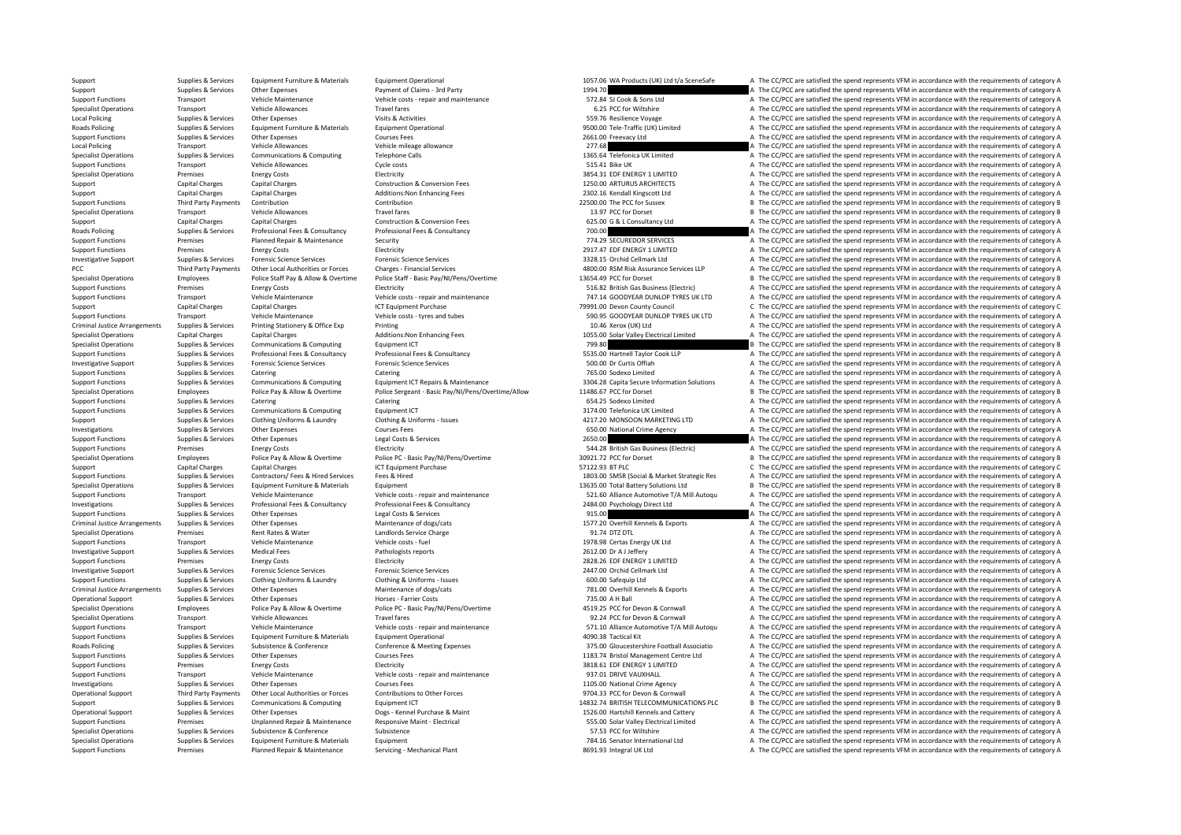Supplies & Services Equipment Furniture & Materials Equipment Operational Equipment Operational 1057.06 WA Products (UK) Ltd t/a SceneSafe A The CC/PCC are satisfied the spend represents VFM in accordance with the requirem Support Support Support Other Expenses Payment of Claims - 3rd Party 1994.70 A The CC/PCC are satisfied the spend represents VFM in accordance with the requirements of category A Support Functions Transport Vehicle Maintenance Vehicle Costs - repair and maintenance Vehicle Costs - repair and maintenance SPS A The CC/PCC are satisfied the spend represents VFM in accordance with the requirements of c Specialist Operations Transport All The CC/PCC are satisfied the spend represents VFM in accordance with the requirements of category A<br>A The CC/PCC are satisfied the spend represents VFM in accordance with the requirement Local Policing Supplies Activities Other Expenses Visits & Activities Visits & Activities Supplies and the Supplies and the Supplies A The CC/PCC are satisfied the spend represents VFM in accordance with the requirements o Roads Policing Supplies & Services Equipment Furniture & Materials Equipment Operational Equipment Operational 9500.00 Tele‐Traffic (UK) Limited A The CC/PCC are satisfied the spend represents VFM in accordance with the re Support Functions Supplies & Services Other Expenses 2661.00 Freewacy Ltd 2661.00 Freewacy Ltd A The CC/PCC are satisfied the spend represents VFM in accordance with the requirements of category A Local Policing Transport Vehicle Allowances Vehicle mileage allowance Vehicle mileage allowance 277.68 A The CC/PCC are satisfied the spend represents VFM in accordance with the requirements of category A Specialist Operations Supplies & Services Communications & Computing Telephone Calls Telephone Calls 1365.64 Telefonica UK Limited A The CC/PCC are satisfied the spend represents VFM in accordance with the requirements of Transport Vehicle Allowances Cycle costs Cycle costs 515.41 Bike UK A The CC/PCC are satisfied the spend represents VFM in accordance with the requirements of category A The CC/PCC are satisfied the spend represents VFM in Specialist Operations Premises Energy Costs Electricity Electricity Electricity and the spend and a set of the spend represents VFM in accordance with the requirements of category A Electricity Construction & Construction Support Capital Charges Capital Charges Construction & Conversion Fees 1250.00 ARTURUS ARCHITECTS A The CC/PCC are satisfied the spend represents VFM in accordance with the requirements of category A Support Capital Charge Support Capital Charges Capital Charges Capital Charges Additions:Non Enhancing Fees 2302.16 Kendall Kingscott Ltd A The CC/PCC are satisfied the spend represents VFM in accordance with the requirements of category A Suppo Support Functions Third Party Payments Contribution Contribution Contribution Contribution Contribution Contribution Contribution Contribution Contribution Contribution Contribution Contribution 22500.00 The PCC for Sussex Transport Vehicle Allowances Travel fares Travel fares Travel fares and the CONSECT Conservations Travel fares and the CONSECT Conservations of the CONSECT AREA The CONSECT AREA The CONSECT AREA The CONSECT AREA The CONSEC Support Capital Charges Capital Charges Capital Charges Construction & Conversion Fees 625.00 G & L Consultancy Ltd A The CC/PCC are satisfied the spend represents VFM in accordance with the requirements of category A Rese Examplies & Services Professional Fees & Consultancy Professional Fees & Consultancy Professional Fees & Consultancy Professional Fees & Consultancy 714.29 SECUIREDOR SERVICES A The CC/PCC are satisfied the spend represent Support Functions Premises Planned Repair & Maintenance Security Security 774.29 SECUREDOR SERVICES A The CC/PCC are satisfied the spend represents VFM in accordance with the requirements of category A Security 7917429 SEC Support Functions Premises Premises Premises Energy Costs Electricity Electricity Electricity Electricity Electricity Electricity Electricity and the Support Punctions A The CC/PCC are satisfied the spend represents VFM in Investigative Support Supplies & Services Forensic Science Services Forensic Science Services Forensic Science Services Forensic Science Services and A The CC/PCC are satisfied the spend represents VFM in accordance with t PCC Third Party Payments Other Local Authorities or Forces Charges ‐ Financial Services 4800.00 RSM Risk Assurance Services LLP A The CC/PCC are satisfied the spend represents VFM in accordance with the requirements of category A Specialist Operations Employees Police Staff Pay & Allow & Overtime Police Staff - Basic Pay/NI/Pens/Overtime<br>Support Example State of Case of Planticity and Case of Planticity and Case of Electricity and The COPC are assi Support Functions Premises Energy Costs Energy Costs Electricity Electricity Electricity Support Electricity Electricity and maintenance Support Functions A The CC/PCC are satisfied the spend represents VFM in accordance w Support Transport Vehicle Maintenance Vehicle costs - repair and maintenance 747.14 GOODYEAR DUNLOP TYRES UK LTD A The CC/PCC are satisfied the spend represents VFM in accordance with the requirements of category A Categor Support Capital Charges Capital Charges Capital Charges ICT Equipment Purchase 79991.00 Devon County Council C The CC/PCC are satisfied the spend represents VFM in accordance with the requirements of category C Support Functions Transport Vehicle Maintenance Vehicle Costs - tyres and tubes vehicle costs - tyres and tubes<br>Criminal Justice Arrangements Support of the Support of the Support of the Support of the Support of the Suppo Criminal Justice Arrangements Supplies & Services Printing Stationery & Office Exp Printing 10.46 Exp Printing 10.46 Xerox (UK) Ltd A The CC/PCC are satisfied the spend represents VFM in accordance with the requirements of Specialist Operations Capital Charges Capital Charges Capital Charges Additions:Non Enhancing Fees 1055.00 Solar Valley Electrical Limited A The CC/PCC are satisfied the spend represents VFM in accordance with the requirem Specialist Operations Supplies & Services Communications & Computing Equipment ICT Equipment ICT Equipment ICT<br>
Support Functions Supplies Applies & Services Professional Fees & Consultancy Professional Fees & Consultancy<br> A The CC/PCC are satisfied the spend represents VFM in accordance with the requirements of category A Investigative Support Supplies & Services Forensic Science Services Forensic Science Services Forensic Science Services Forensic Science Services Forensic Science Services Forensic Science Services Services Services Servic Support Functions Supplies & Services Catering Catering Catering Catering Catering Catering Catering Catering Catering Catering Catering Catering Catering Catering Catering Catering Catering Catering Catering Catering Cate Sunnort Functions Sunning Services Communications & Communications & Communications & Communications Communications Functione Functione Equipment ICT Repairs & Maintenance 3304.28 Capita Secrite Information Solutions & The Specialist Operations Employees Employees Police Pay & Allow & Overtime Police Sergeant - Basic Pay/NI/Pens/Overtime/Allow 11486.67 PCC for Dorset BECC/PCC are satisfied the spend represents VFM in accordance with the requ Catering Catering Catering Catering Catering Catering Catering Catering Catering Catering Catering Catering Catering Catering Catering Catering Catering Catering Catering Catering Supplies and Supplies of the Supplies of A Support Functions Supplies & Services Communications & Computing Equipment ICT examples are a sample of the CC/PCC are satisfied the spend represents VFM in accordance with the requirements of category A Supplies & Services Clothing Uniforms & Laundry Clothing & Uniforms - Issues 4217.20 MONSOON MARKETING LTD A The CC/PCC are satisfied the spend represents VFM in accordance with the requirements of category A Investigations Supplies Services Other Expenses Courses Fees Courses Fees FEED A The CC/PC are satisfied the spend represents VFM in accordance with the requirements of category A The CC/PC are satisfied the spend represen Support Functions Supplies & Services Other Expenses Legal Costs & Services 2650.00 A The CC/PCC are satisfied the spend represents VFM in accordance with the requirements of category A Support Functions Premises Energy Costs Electricity Electricity Electricity Electricity Electricity Support Energy Costs Electricity Electricity Electricity Support Energy Costs Electricity Support Energy Allow & Overtime Specialist Operations Specialist Content of Check and the Cause of the Content Police Pay & Allow & Overtime Police PC - Rasic Pay/NI/Pens/Overtime 30921.72 PCC for Dorset B The CC/PCC are satisfied the spend represents VF Support Capital Charges Capital Charges Capital Charges Capital Charges ICT Equipment Purchase ICT Equipment Purchase 57122.93 BT PLC SC/PCC are satisfied the spend represents VFM in accordance with the requirements of cat Supplies Supplies & Services Contractors/Fees & Hired Services Fees & Hired Fees & Hired CONTECT Contractors/Fees & Mired Services Fees & Hired Contractors Fees & Hired Services Fees & Hired Services Fees & Hired Services Specialist Operations Supplies & Services Equipment Furniture & Materials Equipment 13635.00 Total Battery Solutions Ltd B The CC/PCC are satisfied the spend represents VFM in accordance with the requirements of category B Transport Vehicle Maintenance Vehicle costs repair and maintenance S21.60 Alliance Automotive T/A Mill Autoqu A The CC/PCC are satisfied the spend represents VFM in accordance with the requirements of category A Profession Supplies & Services Professional Fees & Consultancy Professional Fees & Consultancy Professional Fees & Consultancy Professional Fees & Consultancy 2484.00 Psychology Direct Ltd A The CC/PCC are satisfied the spend represe Support Functions Supplies & Services Other Expenses Legal Costs & Services Legal Costs & Services Legal Costs & Services 2015.00 A The CC/PCC are satisfied the spend represents VFM in accordance with the requirements of c Criminal Justice Arrangements Supplies & Services Other Expenses Maintenance of dogs/cats Maintenance of dogs/cats 1577.20 Overhill Kennels & Exports A The CC/PCC are satisfied the spend represents VFM in accordance with t Specialist Operations Charges Rent Rates Rent Rates Rent Rates Rent Rates Charge 91.74 DTL A The CC/PCC are satisfied the spend represents VFM in accordance with the requirements of category A The CC/PCC are satisfied the Support Functions Transport Vehicle Maintenance Vehicle Costs Fuel Vehicle costs – fuel 1978.98 Certas Energy UK Ltd A The CC/PCC are satisfied the spend represents VFM in accordance with the requirements of category A The Investigative Support Supplies & Services Medical Fees Pathologists reports Pathologists reports 2612.00 Dr A J Jeffery A The CC/PCC are satisfied the spend represents VFM in accordance with the requirements of category A Support Functions Premises Premises Energy Costs Electricity Electricity Electricity Electricity Electricity and Electricity and the Support Energy A The CC/PCC are satisfied the spend represents VFM in accordance with the Investigative Support Supplies & Services Forensic Science Services Forensic Science Services Forensic Science Services Forensic Science Services and the contents and the content of category A The CC/PCC are satisfied the Support Functions Supplies & Services Clothing Uniforms & Laundry Clothing & Uniforms - Issues 600.00 Safequip Ltd A The CC/PCC are satisfied the spend represents VFM in accordance with the requirements of category A Criminal Justice Arrangements Supplies & Services Other Expenses Maintenance of dogs/cats Maintenance of dogs<br>
Maintenance of dogs/cats and the main of the main of the main of the CPCC are satisfied the spend represents VF Operational Support Supplies & Services Other Expenses Horses Farrier Costs Proces Farrier Costs Process Farrier Costs 735.00 A H Ball A The CC/PCC are satisfied the spend represents VFM in accordance with the requirements Specialist Operations Employees Police Pay & Allow & Overtime Police PC - Basic Pay/N/Pens/Overtime Police PC - Basic Pay/N/Pens/Overtime and the manufact of the COPCC are satisfied the spend represents VFM in accordance w Specialist Operations Transport Vehicle Allowances Travel fares Travel fares Travel fares Travel fares Travel fares Travel fares and maintenance of the spend represents of the spend represents VFM in accordance with the re Transport Vehicle Maintenance Vehicle Costs - repair and maintenance and the ST1.10 Alliance Automotive T/A Mill Autoqu A The CC/PCC are satisfied the spend represents VFM in accordance with the requirements of category A Support Functions Supplies & Services Equipment Furniture & Materials Equipment Operational equipment Operational 4090.38 Tactical Kit A The CC/PCC are satisfied the spend represents VFM in accordance with the requirements Supplies & Services Subsistence & Conference Conference & Meeting Expenses Conference & Meeting Expenses and the state of the CO/PCC are satisfied the spend represents VFM in accordance with the requirements of category A Support Functions Supplies & Services Other Expenses Courses Fees Courses Fees 1183.74 Bristol Management Centre Ltd A The CC/PCC are satisfied the spend represents VFM in accordance with the requirements of category A The Support Functions Premises Energy Costs Energy Costs Electricity Electricity Electricity Electricity and anintenance and anintenance 3818.61 EDF ENERGY 1 LIMITED A The CC/PCC are satisfied the spend represents VFM in accor Support Functions Transport Vehicle Maintenance Vehicle costs – repair and maintenance 937.01 DRIVE VAUXHALL A The CC/PCC are satisfied the spend represents VFM in accordance with the requirements of category A Investigations Supplies & Services Other Expenses Courses Fees Courses Fees Courses Fees 1105.00 National Crime Agency A The CC/PCC are satisfied the spend represents VFM in accordance with the requirements of category A C Operational Support Third Party Payments Other Local Authorities or Forces Contributions to Other Forces Support<br>
Support Support Support Support Support Support Support Support Support Support Support Support Support Supp Support Supplies & Services Communications & Computing Equipment ICT example that the service of the spend represents VFM in accordance with the requirements of category B Operational Support Supplies & Services Other Expenses Dogs-Kennel Purchase & Maint 1526.00 Hartshill Kennels and Cattery A The CC/PCC are satisfied the spend represents VFM in accordance with the requirements of category Support Functions Premises Unplanned Repair & Maintenance Responsive Maint - Flectrical and the COMER STS.00 Solar Valley Flectrical imited A The CC/PCC are satisfied the spend represents VFM in accordance with the require Specialist Operations Supplies & Services Subsistence Subsistence Subsistence Subsistence Subsistence Subsistence Subsistence Subsistence Subsistence Subsistence Subsistence Subsistence Subsistence Subsistence Subsistence Specialist Operations Supplies & Services Equipment Eurniture & Materials Equipment Equipment Equipment Equipment Equipment Pathanical Plant and the Senator International Ltd A The CC/PCC are satisfied the spend represents Support Functions Premises Planned Repair & Maintenance Servicing Mechanical Plant 8691.93 Integral UK Itd A The CC/PCC are satisfied the spend represents VFM in accordance with the requirements of category A The CC/PCC a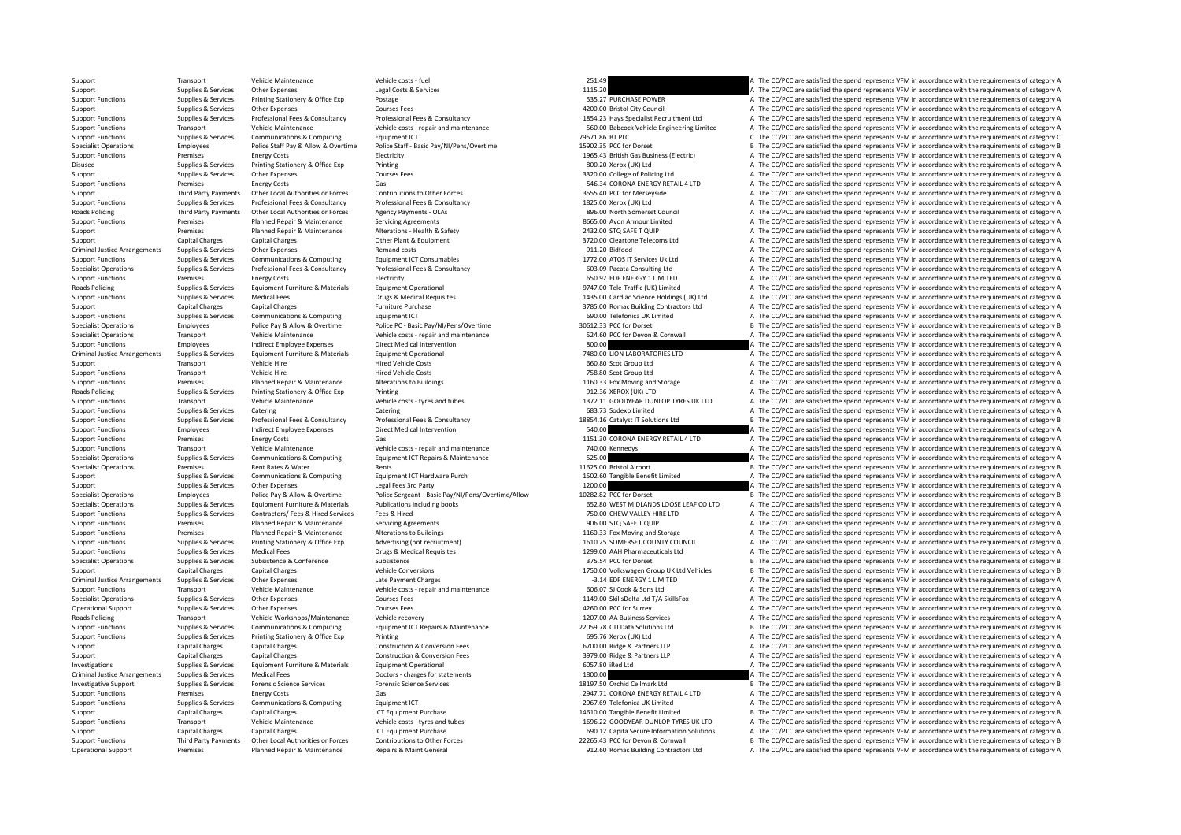Support Transport Vehicle Maintenance Vehicle Costs – fuel Vehicle costs – fuel Vehicle costs Category A The CC/PCC are satisfied the spend represents VFM in accordance with the requirements of category A Support Costs Cat Support Supplies & Services Other Expenses Legal Costs & Services 1115.20 A The CC/PCC are satisfied the spend represents VFM in accordance with the requirements of category A Support Costs are a services and the requireme Support Functions Supplies & Services Printing Stationery & Office Exp Postage Postage Postage 535.27 PURCHASE POWER A The CC/PCC are satisfied the spend represents VFM in accordance with the requirements of category A Sup Supplies & Services Other Expenses Courses Fees Courses Fees 4200.00 Bristol City Council A The CC/PCC are satisfied the spend represents VFM in accordance with the requirements of category A Supplies & Services Professional Fees & Consultancy Professional Fees & Consultancy Professional Fees & Consultancy Professional Fees & Consultancy Professional Fees & Consultancy Professional Fees & Consultancy Profession Transport Vehicle Maintenance Vehicle costs - repair and maintenance S60.00 Babcock Vehicle Engineering Limited A The CC/PCC are satisfied the spend represents VFM in accordance with the requirements of category A Support Functions Supplies & Services Communications & Computing Equipment ICT 70571.86 BT PLC 79571.86 BT PLC C The CC/PCC are satisfied the spend represents VFM in accordance with the requirements of category C Specialist Operations Employees Police Staff Pay & Allow & Overtime Police Staff - Basic Pay/NI/Pens/Overtime 15902.35 PCC for Dorset B The CC/PCC are satisfied the spend represents VFM in accordance with the requirements Support Functions Premises Premises Energy Costs Electricity Electricity Electricity and the energy Costs Electricity and the Electricity and the COME are satisfied the spend represents VFM in accordance with the requireme Disused Supplies & Services Printing Stationery & Office Exp Printing States Printing States Printing States Printing States Printing States Printing States Printing States Printing States Printing States Printing States P Support Supplies Supplies & Services Other Expenses Courses Fees Courses Fees Sammer Courses Fees 3320.00 College of Policing Ltd A The CC/PCC are satisfied the spend represents VFM in accordance with the requirements of c Support Functions Premises Energy Costs Gas Gas Gas Gas Content Functions to the cost Gas Content of Content of Content of Content Content of Content of Content of Content of Content of Content of Content of Content of Con Support Third Party Payments Other Local Authorities or Forces Contributions to Other Forces 3555.40 PCC for Merseyside A The CC/PCC are satisfied the spend represents VFM in accordance with the requirements of category A Support Functions Supplies & Services Professional Fees & Consultancy Professional Fees & Consultancy Professional Fees & Consultancy Professional Fees & Consultancy Professional Fees & Consultancy Professional Fees & Cons A The CC/PCC are satisfied the spend represents VFM in accordance with the requirements of category A Support Functions Premises Planned Repair & Maintenance Servicing Agreements Servicing Agreements are a Servicing Agreements and the Servicing Agreements and the CC/PC are satisfied the spend represents VFM in accordance w Support Premises Planned Repair & Maintenance Alterations – Health & Safety 2432.00 STQ SAFE T QUIP A The CC/PCC are satisfied the spend represents VFM in accordance with the requirements of category A Cher Plant & Maria C Support Capital Charges Capital Charges Capital Charges Capital Charges Capital Charges Capital Charges Capital Charges Capital Charges Capital Charges Capital Charges Capital Charges Capital Charges Capital Charges Capita Criminal Justice Arrangements Supplies & Services Other Expenses Arrangeory A Remand costs Remand costs Remand costs 911.20 Bidfood A The CC/PCC are satisfied the spend represents VFM in accordance with the requirements of Support Functions Supplies & Services Communications & Computing Equipment ICT Consumables 1772.00 ATOS IT Services Uk Ltd A The CC/PCC are satisfied the spend represents VFM in accordance with the requirements of category A Supplies & Supplies & Services Professional Fees & Consultancy Professional Fees & Consultancy Professional Fees & Consultancy Consultancy and the CONSULTAN CONSULTANT A The CC/PCC are satisfied the spend represents VFM in Support Functions Premises Premises Energy Costs Electricity Electricity Electricity Electricity Electricity entity energy and the spend represents of category and the requirements of category A The CC/PCC are satisfied th Equipment Operational<br>
9747.00 Tele‐Traffic (UK) Limited A The CC/PCC are satisfied the spend represents VFM in accordance with the requirements of category A<br>
9747.00 Cardiac Science Holdings (UK) Ltd A The CC/PCC are s Support Functions Supplies & Services Medical Fees Drugs & Medical Requisites Drugs & Medical Requisites Drugs & Medical Requisites 1435.00 Cardiac Science Holdings (UK) Ltd A The CC/PCC are satisfied the spend represents Support Capital Charges Capital Charges Capital Charges Furniture Purchase **3785.00** Romac Building Contractors Ltd A The CC/PCC are satisfied the spend represents VFM in accordance with the requirements of category A Supp Support Functions Supplies & Services Communications & Computing Equipment ICT Equipment ICT Equipment ICT Equipment ICT COMPUT COLLEC A The CC/PCC are satisfied the spend represents VFM in accordance with the requirements Specialist Operations Employees Police Pay & Allow & Overtime Police PC - Basic Pay/N/Pens/Overtime 30612.33 PCC for Dorset Basic Pay By The CC/PCC are satisfied the spend represents VFM in accordance with the requirements Specialist Operations Transport Vehicle Maintenance Vehicle costs repair and maintenance Search Cornwall A The CC/PCC are satisfied the spend represents VFM in accordance with the requirements of category A Support Functions Employees Employees Indirect Employee Expenses Direct Medical Intervention Direct Medical Intervention and the Support Function and the CC/PCC are satisfied the spend represents VFM in accordance with the A The CC/PCC are satisfied the spend represents VFM in accordance with the requirements of category A Support Transport Vehicle Hire Hire Hired Vehicle Costs Hired Vehicle Costs and A The COPCC are satisfied the spend represents VFM in accordance with the requirements of category A Hired Vehicle Costs Hired Vehicle Costs H Support Functions Transport Vehicle Hire Hired Vehicle Costs Hired Vehicle Costs and the Vehicle Costs 758.80 Scot Group Ltd A The CC/PCC are satisfied the spend represents VFM in accordance with the requirements of catego Support Functions Premises Planned Repair & Maintenance Alterations to Buildings and the maintenance and Storage A The CC/PCC are satisfied the spend represents VFM in accordance with the requirements of category A Realter Roads Policing Supplies & Services Printing Stationery & Office Exp Printing Printing 912.36 XEROX (UK) LTD A The CC/PCC are satisfied the spend represents VFM in accordance with the requirements of category A Support Func Transport Vehicle Maintenance Vehicle costs - tyres and tubes 1372.11 GOODYEAR DUNLOP TYRES UK LTD A The CC/PCC are satisfied the spend represents VFM in accordance with the requirements of category A Support Functions Supplies & Services Catering Catering Catering Catering Catering Catering Catering Catering Catering Catering Catering Catering Catering Category A The CC/PCC are satisfied the spend represents VFM in acc Support Functions Supplies & Services Professional Fees & Consultancy Professional Fees & Consultancy Professional Fees & Consultancy Professional Fees & Consultancy Professional Fees & Consultancy Professional Fees & Cons Support Functions Employees Indirect Employee Expenses Direct Medical Intervention 540.00 A The CC/PCC are satisfied the spend represents VFM in accordance with the requirements of category A Support Functions Premises Energy Costs Gas Gas Gas The Support ENERGY RETAIL 4 LTD A The CC/PCC are satisfied the spend represents VFM in accordance with the requirements of category A Support Functions Transport Vehicle Maintenance Vehicle Costs - repair and maintenance Vehicle Costs - repair and maintenance 740.00 Kennedys A The CC/PCC are satisfied the spend represents VFM in accordance with the requi Specialist Operations Supplies & Services Communications & Computing Fquipment ICT Repairs & Maintenance 525.00 525.00 A The CC/PCC are satisfied the spend represents VFM in accordance with the requirements of category A Specialist Operations Premises Premises Rent Rates & Water Rents Rents Rents Rents Rents Rents Rents Rents Rents Rents Provident Provident Providence and the CC/PC are satisfied the spend represents VFM in accordance with Support Supplies & Services Communications & Computing Equipment ICT Hardware Purch 1502.60 Tangible Benefit Limited A The CC/PCC are satisfied the spend represents VFM in accordance with the requirements of category A Isl Support Support Support Support Support Support Support Support Support Support Support Support Support Support Support Support Support Support Support Support Support Support Support Support Support Support Support Suppor Specialist Operations Employees Equipment Funiture & Materials Police Sergeant - Basic Pay/NI/Pens/Overtime/Allow 10282.82 PCC for Dorset Basic Pay B The CC/PCC are satisfied the spend represents VFM in accordance with the A The CC/PCC are satisfied the spend represents VFM in accordance with the requirements of category A Support Functions Supplies & Services Contractors/ Fees & Hired Services Fees & Hired The CONCERT AREAD 750.00 CHEW VALLEY HIRE LTD A The CC/PCC are satisfied the spend represents VFM in accordance with the requirements of Support Functions Premises Planned Repair & Maintenance Servicing Agreements Premises Servicing Agreements 906.00 STQ SAFE T QUIP A The CC/PCC are satisfied the spend represents VFM in accordance with the requirements of c Support Functions Premises Planned Repair & Maintenance Alterations to Buildings Alterations to Buildings 1160.33 Fox Moving and Storage A The CC/PCC are satisfied the spend represents VFM in accordance with the requiremen Support Functions Supplies & Services Printing Stationery & Office Exp Advertising (not recruitment) 1610.25 SOMERSET COUNTY COUNCIL A The CC/PCC are satisfied the spend represents VFM in accordance with the requirements o Support Functions Supplies & Services Medical Fees Drugs & Medical Requisites Drugs & Medical Requisites 1299.00 AAH Pharmaceuticals Ltd A The CC/PCC are satisfied the spend represents VFM in accordance with the requiremen Specialist Operations Supplies & Services Subsistence Subsistence Subsistence Subsistence Subsistence Subsistence Subsistence Subsistence Subsistence Subsistence Subsistence Subsistence Subsistence Subsistence Subsistence Support Capital Charges Capital Charges Capital Charges Vehicle Conversions Vehicle Conversions 1750.00 Volkswagen Group UK Ltd Vehicles B The CC/PCC are satisfied the spend represents VFM in accordance with the requiremen Criminal Justice Arrangements Supplies & Services Other Expenses Late Payment Charges Late Payment Charges Late Payment Charges Late Payment Charges Carges -3.14 EDF ENERGY 1 LIMITED A The CC/PCC are satisfied the spend re Support Functions Transport Vehicle Maintenance Vehicle Costs - repair and maintenance Vehicle Costs and maintenance vehicle Costs and maintenance and the Support Transport and the expendix of the requirements of category Courses Fees **Services Courses Courses Courses A The CC/PCC** are satisfied the spend represents VFM in accordance with the requirements of category A Operational Support Supplies & Services Other Expenses Courses Fees Courses Fees and A The CC/PCC are satisfied the spend represents VFM in accordance with the requirements of category A Roads Policing Transport Vehicle Workshops/Maintenance Vehicle ercovery vehicle recovery 1207.00 AA Business Services A The CC/PCC are satisfied the spend represents VFM in accordance with the requirements of category A Su Sunnort Eugenions Sunniles & Services Communications & Communications & Communications & Communications & Communications Foundment (CT Renairs & Maintenance 2005 22 CTI Data Solutions I the CC/PCC are satisfied the spend r Support Functions Supplies & Services Printing Stationery & Office Exp Printing<br>Support Function States And A The CC/PCC are satisfied the spend represents VFM in accordance with the requirements of category A Construction Support Capital Charges Capital Charges Construction & Conversion Fees 6700.00 Ridge & Partners LLP A The CC/PCC are satisfied the spend represents VFM in accordance with the requirements of category A Support Capital Charges Capital Charges Capital Charges Construction & Conversion Fees 3979.00 Ridge & Partners LLP A The CC/PCC are satisfied the spend represents VFM in accordance with the requirements of category A Char Investigations Supplies & Services Equipment Furniture & Materials Equipment Operational Equipment Operational 6057.80 iRed Ltd A The CC/PCC are satisfied the spend represents VFM in accordance with the requirements of cat Criminal Justice Arrangements Supplies & Services Medical Fees Doctors charges for statements and the spend of the spending of the contents of category A The CC/PCC are satisfied the spend represents VFM in accordance with Investigative Support Supplies & Services Forensic Science Services Forensic Science Services Forensic Science Services Forensic Science Services and the state of the Service of the CC/PCC are satisfied the spend represent Support Functions Premises Energy Costs Gas Gas Casegy and Control and Control and The CC/PCC are satisfied the spend represents VFM in accordance with the requirements of category A Support Functions Supplies & Services Communications & Computing Equipment ICT 2967.69 Telefonica UK Limited A The CC/PCC are satisfied the spend represents VFM in accordance with the requirements of category A Support Capital Charges Capital Charges Capital Charges 1467 CT Equipment Purchase 14610.00 Tangible Benefit Limited B The CC/PCC are satisfied the spend represents VFM in accordance with the requirements of category B Support Functions Transport Vehicle Maintenance Vehicle Costs - tyres and tubes 1696.22 GOODYEAR DUNLOP TYRES UK LTD A The CC/PCC are satisfied the spend represents VFM in accordance with the requirements of category A Support Capital Charges Capital Charges Capital Charges ICT Equipment Purchase 1CT Equipment Purchase 690.12 Capita Secure Information Solutions A The CC/PCC are satisfied the spend represents VFM in accordance with the re Support Functions Third Party Payments Other Local Authorities or Forces Contributions to Other Forces 20205.43 PCC for Devon & Connwall B The CC/PCC are satisfied the spend represents VFM in accordance with the requiremen Operational Support Premises Planned Repair & Maintenance Repairs & Maint General 912.60 Romac Building Contractors Ltd A The CC/PCC are satisfied the spend represents VFM in accordance with the requirements of category A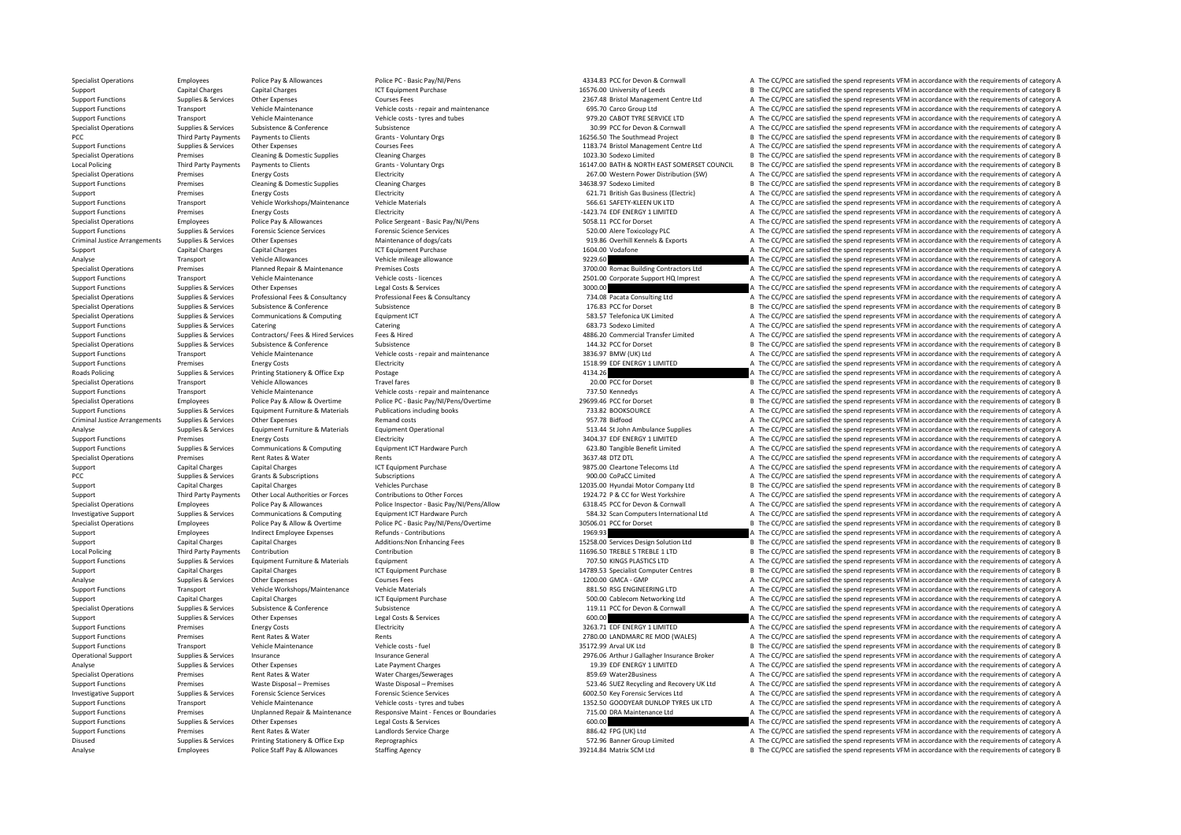Analyse Employees Police Staff Pay & Allowances Staffing Agency 39214.84 Matrix SCM Ltd B The CC/PCC are satisfied the spend represents VFM in accordance with the requirements of category B

Specialist Operations Employees Police Pay & Allowances Police PC - Basic Pay/NI/Pens 4334.83 PCC for Devon & Cornwall A The CC/PCC are satisfied the spend represents VFM in accordance with the requirements of category A Support Capital Charges Capital Charges ICT Equipment Purchase 16576.00 University of Leeds B The CC/PCC are satisfied the spend represents VFM in accordance with the requirements of category B Support Functions Supplies & Services Other Expenses 2007 Courses Fees 2007 Courses Fees 2367.48 Bristol Management Centre Ltd A The CC/PCC are satisfied the spend represents VFM in accordance with the requirements of cate Support Functions Transport Functions A Transport Vehicle Maintenance Vehicle and maintenance with the requirements of category A The CC/PCC are satisfied the spend represents VFM in accordance with the requirements of cat Support Functions Transport Vehicle Maintenance Vehicle costs - tyres and tubes 979.20 CABOT TYRE SERVICE LTD A The CC/PCC are satisfied the spend represents VFM in accordance with the requirements of category A Specialist Operations Supplies & Services Subsistence Subsistence Subsistence Subsistence Subsistence Subsistence Subsistence Subsistence Subsistence Subsistence Subsistence Subsistence Subsistence Subsistence Subsistence PCC Third Party Payments Payments to Clients Grants Coluntary Orgs Grants Coluntary Orgs 16256.50 The Southmead Project B The CC/PCC are satisfied the spend represents VFM in accordance with the requirements of category B Support Functions Supplies & Services Other Expenses Courses Fees Courses Fees 1183.74 Bristol Management Centre Ltd A The CC/PCC are satisfied the spend represents VFM in accordance with the requirements of category A Specialist Operations Premises Cleaning & Domestic Supplies Cleaning Charges Cleaning Charges Cleaning Charges 1023.30 Sodexo Limited B The CC/PCC are satisfied the spend represents VFM in accordance with the requirements Grants - Voluntary Orgs 6 16147.00 BATH & NORTH EAST SOMERSET COUNCIL B The CC/PCC are satisfied the spend represents VFM in accordance with the requirements of category B Specialist Operations Premises Energy Costs Electricity Electricity 267.00 Western Power Distribution (SW) A The CC/PCC are satisfied the spend represents VFM in accordance with the requirements of category A Support Functions Premises Cleaning & Domestic Supplies Cleaning Charges Cleaning Charges Cleaning Charges Supplies Cleaning Charges Support and the control and the spend represents VFM in accordance with the requirements Support Premises Energy Costs Electricity 621.71 British Gas Business (Electricity 621.71 British Gas Business (Electricity A The CC/PCC are satisfied the spend represents VFM in accordance with the requirements of categor Support Functions Transport Vehicle Workshops/Maintenance Vehicle Materials vehicle Materials S66.61 SAFETY‐KLEEN UK LTD A The CC/PCC are satisfied the spend represents VFM in accordance with the requirements of category A Premises Energy Costs Electricity Electricity → Electricity → 1423.74 EDF ENERGY 1 LIMITED A The CC/PCC are satisfied the spend represents VFM in accordance with the requirements of category A Specialist Operations Employees Police Pay & Allowances Police Sergeant - Basic Pay/NI/Pens 5058.11 PCC for Dorset A The CC/PCC are satisfied the spend represents VFM in accordance with the requirements of category A Spend Support Functions Supplies & Services Forensic Science Services Forensic Science Services Forensic Science Services Forensic Science Services Forensic Science Services Support and the category A The CC/PCC are satisfied th Criminal Justice Arrangements Supplies & Services Other Expenses Maintenance of dogs/cats Maintenance of dogs<br>
Capacity Capital Charactes Capital Charactes Capital Charactes Capital Charactes Capital Charactes Capital Char Support Capital Charges Capital Charges Capital Charges Music Capital Charges ICT Equipment Purchase 1604.00 Vodafone 1604.00 Vodafone A The CC/PCC are satisfied the spend represents VFM in accordance with the requirements Analyse Transport Medicallowances Vehicle Allowance Vehicle mileage allowance Vehicle mileage allowance Vehicle mileage allowance 9229.60 A The CC/PCC are satisfied the spend represents VFM in accordance with the requireme Specialist Operations Premises Planned Repair & Maintenance Premises Costs 3700.00 Romac Building Contractors Itd A The CC/PCC are satisfied the spend represents VFM in accordance with the requirements of category A Support Functions Transport Vehicle Maintenance Vehicle costs - licences 2501.00 Corporate Support HQ Imprest A The CC/PCC are satisfied the spend represents VFM in accordance with the requirements of category A New York C Support Functions Supplies & Services Other Expenses Legal Costs & Services Services Consultancy and the support of the CONCC are satisfied the spend represents VFM in accordance with the requirements of category A The CON Supplies & Supplies & Supplies & Supplies Professional Fees & Consultancy Professional Fees & Consultancy Professional Fees & Consultancy Professional Fees & Consultancy and the man and the Supplies and the COPCC are satis B The CC/PCC are satisfied the spend represents VFM in accordance with the requirements of category B Specialist Operations Supplies & Services Communications & Computing Equipment ICT examples and the Service of the Services Category A The CC/PCC are satisfied the spend represents VFM in accordance with the requirements o Support Functions Supplies & Services Catering Catering Catering Catering Catering Catering Catering Catering Catering Catering Catering Catering Catering Catering Catering Catering Catering Catering Catering Catering Cate Support Functions Supporters Services Contractors/ Fees & Hired Services Fees & Hired 4886.20 Commercial Transfer Limited A The CC/PCC are satisfied the spend represents VFM in accordance with the requirements of category Specialist Operations Supplies & Services Subsistence Subsistence Subsistence Subsistence Subsistence Subsistence Subsistence Subsistence Subsistence Subsistence Subsistence Subsistence Subsistence Vehicle costs repair and Support Functions Transport Constructions A The CC/PCC are satisfied the spend represents VFM in accordance with the requirements of category A The CC/PCC are satisfied the spend represents VFM in accordance with the requ Support Functions Premises Premises Premises Energy Costs Electricity Electricity Electricity and the Support ENERGY 1 LIMITED A The CC/PCC are satisfied the spend represents VFM in accordance with the requirements of cate Roads Policing Supplies & Supplies & Services Printing Stationery & Office Exp Postage Printing Stationery & Office Exp Postage 4134.26 A The CC/PCC are satisfied the spend represents VFM in accordance with the requirement Specialist Operations Transport Vehicle Allowances Travel fares Travel fares 20.00 PCC for Dorset B The CC/PCC are satisfied the spend represents VFM in accordance with the requirements of category B Support Functions Transport Vehicle Maintenance Vehicle Costs - repair and maintenance Vehicle Costs - repair and maintenance 737.50 Kennedys A The CC/PCC are satisfied the spend represents VFM in accordance with the requi Employees Police Pay & Allow & Overtime Police PC - Basic Pay/NI/Pens/Overtime 29699.46 PCC for Dorset B The CC/PCC are satisfied the spend represents VFM in accordance with the requirements of category B Support Functions Supplies & Services Equipment Furniture & Materials Publications including books 733.82 BOOKSOURCE A The CC/PCC are satisfied the spend represents VFM in accordance with the requirements of category A Criminal Justice Arrangements Supplies & Services Other Expenses Remand costs Remand costs Permand costs 957.78 Bidfood A The CC/PCC are satisfied the spend represents VFM in accordance with the requirements of category A Analyse Supplies Services Equipment Furniture & Materials Equipment Operational 513.44 St John Ambulance Supplies A The CC/PCC are satisfied the spend represents VFM in accordance with the requirements of category A Support Functions Premises Energy Costs Electricity Electricity and the Support Electricity and a stategory A The CC/PCC are satisfied the spend represents VFM in accordance with the requirements of category A Support Functions Supplies & Services Communications & Computing Equipment ICT Hardware Purch COME 623.80 Tangible Benefit Limited A The CC/PCC are satisfied the spend represents VFM in accordance with the requirements of Specialist Operations Premises Rent Rates & Water Rents Rents Rents Rents Rents Rents Rents Rents Rents Rents Rents Rents Rents Rents Rents Rents Rents Rents Rents Rents Rents Rents Rents Rents Rents Rents Rents Rents Rent Support Capital Charges Capital Charges Support Capital Charges ICT Equipment Purchase 9875.00 Cleartone Telecoms Ltd A The CC/PCC are satisfied the spend represents VFM in accordance with the requirements of category A PCC Supplies & Subscriptions Subscriptions Subscriptions Subscriptions Subscriptions Subscriptions Subscriptions Subscriptions Subscriptions Subscriptions and the copy and the copy and the spend represents VFM in accordanc Support Capital Charges Capital Charges Capital Charges Vehicles Purchase Vehicles Purchase 12035.00 Hyundai Motor Company Ltd B The CC/PCC are satisfied the spend represents VFM in accordance with the requirements of cate Third Party Payments Other Local Authorities or Forces Contributions to Other Forces and the contributions to the recordence of the Superator Basic Perform of the COPCC are satisfied the spend represents VFM in accordance Employees Police Pay & Allowances Police Inspector - Basic Pay/NI/Pens/Allow 6318.45 PCC for Devon & Cornwall A The CC/PCC are satisfied the spend represents VFM in accordance with the requirements of category A Investigative Support Supplies & Services Communications & Computing Equipment ICT Hardware Purch Support Savan Savant Savan Savant Savant Savant Savant Savant Savant Savant Savant A The CC/PCC are satisfied the spend repr Specialist Operations Specialist Content of Changes and the requirements of category Police Pay & Allow & Overtime Police PC - Rasic Pay/NI/Pens/Overtime 30506.01 PCC for Dorset B The CC/PCC are satisfied the spend represe Support Employees Indirect Employee Expenses Refunds Contributions 1960.93 A The CC/PC are satisfied the spend represents VFM in accordance with the requirements of category A Support Capital Charges Capital Charges Capital Charges Additions:Non Enhancing Fees 15258.00 Services Design Solution Ltd B The CC/PCC are satisfied the spend represents VFM in accordance with the requirements of category Contribution Contribution Contribution Contribution Contribution Contribution Contribution Contribution Contribution Contribution Contribution Contribution Contribution Contribution Contribution Contribution Contribution C Support Functions Supplies & Services Faujoment Furniture & Materials Faujoment Functions and the requirement of category A The CC/PCC are satisfied the spend represents VFM in accordance with the requirements of category Support Capital Charges Capital Charges 14789.53 Specialist Computer Centres B The CC/PCC are satisfied the spend represents VFM in accordance with the requirements of category B and very spend represent of category B and Analyse Supplies & Services Other Expenses Courses Fees Courses Fees 1200.00 GMCA - GMP A The CC/PCC are satisfied the spend represents VFM in accordance with the requirements of category A Support Functions Transport Vehicle Workshops/Maintenance Vehicle Materials Vehicle Materials 881.50 RSG ENGINEERING LTD A The CC/PCC are satisfied the spend represents VFM in accordance with the requirements of category A Support Capital Charges Capital Charges Capital Charges Capital Charges ICT Equipment Purchase 100 Cablecom Networking Ltd A The CC/PCC are satisfied the spend represents VFM in accordance with the requirements of category Specialist Operations Supplies & Services Subsistence Subsistence Subsistence Subsistence Subsistence Subsistence Subsistence and Subsistence Subsistence Subsistence Subsistence Subsistence Subsistence and the requirements Support Supplies & Services Other Expenses May begal Costs & Services Legal Costs & Services Legal Costs & Services 600.00 A The CC/PCC are satisfied the spend represents VFM in accordance with the requirements of category Support Functions Premises Energy Costs Functions Electricity States and The COST INNITED A The CC/PCC are satisfied the spend represents VFM in accordance with the requirements of category A Support Functions Premises Rent Rates & Water Rents Rents Rents Rents Rents Rents Rents Rents 2780.00 LANDMARC RE MOD (WALES) A The CC/PCC are satisfied the spend represents VFM in accordance with the requirements of categ Support Functions Transport Vehicle Maintenance Vehicle costs – fuel Support Vehicle Costs – fuel 35172.99 Arval UK Ltd B The CC/PCC are satisfied the spend represents VFM in accordance with the requirements of category B Operational Support Supplies & Services Insurance Insurance Support Insurance General 20076.06 Arthur J Gallagher Insurance Broker A The CC/PCC are satisfied the spend represents VFM in accordance with the requirements of Analyse Supplies & Services Other Expenses Late Payment Charges Late Payment Charges Late Payment Charges Late Payment Charges 2013 a Supplies 19.39 EDF ENERGY 1 LIMITED A The CC/PCC are satisfied the spend represents VFM Specialist Operations Premises Rent Rates & Water Mater Charges/Sewerages Rent Rates and the Special Specialist Operations A The CC/PCC are satisfied the spend represents VFM in accordance with the requirements of category Support Functions Premises Waste Disposal – Premises Waste Disposal – Premises Waste Disposal – Premises Waste Disposal – Premises Waste Disposal – Premises Waste Disposal – Premises 523.46 SUEZ Recycling and Recovery UK L Investigative Support Support Support Support Support Support Support Support Support Support Support Support Support Support Support Support Support Support Support Support Support Support Support Support Support Support Support Functions Transport Vehicle Maintenance Vehicle costs - tyres and tubes 1352.50 GOODYEAR DUNLOP TYRES UK LTD A The CC/PCC are satisfied the spend represents VFM in accordance with the requirements of category A Support Functions Premises Unplanned Repair & Maintenance Responsive Maint - Fences or Boundaries 715.00 DRA Maintenance Ltd A The CC/PCC are satisfied the spend represents VFM in accordance with the requirements of catego Support Functions Supplies & Services Other Expenses Legal Costs & Services Costs & Services Costs & Services Costs & Services Costs & Services Costs & Services Costs & Services Costs & Services Costs & Services Costs & Se Support Functions Premises Rent Rates & Water Landlords Service Charge 286.42 FPG (UK) Ltd A The CC/PCC are satisfied the spend represents VFM in accordance with the requirements of category A Disused Supplies & Services Printing Stationery & Office Exp Reprographics Reprographics 572.96 Banner Group Limited A The CC/PCC are satisfied the spend represents VFM in accordance with the requirements of category A Cat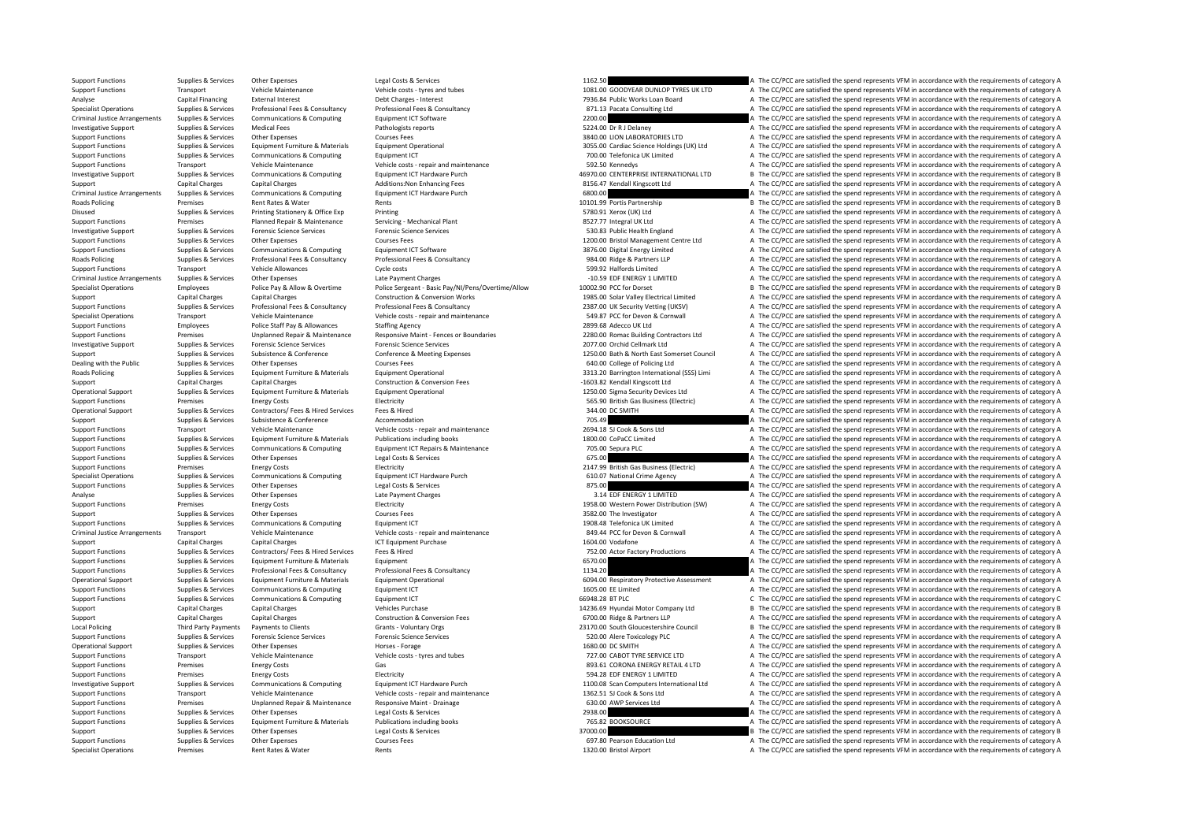Specialist Operations Premises Rent Rates & Water Rents Rents Rents Rents Rents Rents Rent Rents 1320.00 Bristol Airport A The CC/PCC are satisfied the spend represents VFM in accordance with the requirements of category A

Support Functions Supplies & Services Other Expenses Legal Costs & Services Legal Costs & Services Legal Costs & Services 1162.50 A The CC/PCC are satisfied the spend represents VFM in accordance with the requirements of c Support Functions Transport Vehicle Maintenance Vehicle costs ‐ tyres and tubes 1081.00 GOODYEAR DUNLOP TYRES UK LTD A The CC/PCC are satisfied the spend represents VFM in accordance with the requirements of category A Analyse Capital Financing External Interest Debt Charges - Interest Debt Charges - Interest Debt Charges - Interest 7936.84 Public Works Loan Board A The CC/PCC are satisfied the spend represents VFM in accordance with the Supplies & Services Professional Fees & Consultancy Professional Fees & Consultancy Professional Fees & Consultancy<br>
Supplies & Services Communications & Computing Calcioment ICT Software Equipment ICT Software Equipment I Criminal Justice Arrangements Supplies & Services Communications & Computing Equipment ICT Software externed and a represent are a represent are a represent of category A The CC/PCC are satisfied the spend represents VFM i Investigative Support Supplies & Services Medical Fees Pathologists reports Pathologists reports 5224.00 Dr R J Delaney A The CC/PCC are satisfied the spend represents VFM in accordance with the requirements of category A Support Functions Supplies & Services Other Expenses Support Courses Fees Support Courses Courses Courses Fees 3840.00 LION LABORATORIES LTD A The CC/PCC are satisfied the spend represents VFM in accordance with the requir Support Functions Supplies & Services Equipment Furniture & Materials Equipment Operational Equipment Operational Support Detaca and Support Functional 3055.00 Cardiac Science Holdings (UK) Ltd A The CC/PCC are satisfied t Support Functions Supplies & Services Communications & Computing Equipment ICT equipment ICT 700.00 Telefonica UK Limited A The CC/PCC are satisfied the spend represents VFM in accordance with the requirements of category Support Functions Transport Vehicle Maintenance Vehicle costs - repair and maintenance Vehicle Costs - repair and maintenance 592.50 Kennedys A The CC/PCC are satisfied the spend represents VFM in accordance with the requi Investigative Support Supplies & Services Communications & Computing Equipment ICT Hardware Purch 46970.00 CENTERPRISE INTERNATIONAL LTD <sup>B</sup> The CC/PCC are satisfied the spend represents VFM in accordance with the requirements of category B Support Capital Charges Capital Charges Capital Charges Additions:Non Enhancing Fees and a Support Charge Capital Charges Capital Charges Capital Charges Additions:Non Enhancing Fees 8156.47 Kendall Kingscott Ltd A The CC/ Criminal Justice Arrangements Supplies A Services Communications A Computing Equipment ICT Hardware Purch 6800.00 A The CC/PCC are satisfied the spend represents VFM in accordance with the populations of category A The CC/ Roads Policing Premises Premises Rent Rates & Water Rents Rents Rents Rents Rents Rents Rents Rents Rents Rents Rents Partnership and the CC/PCC are satisfied the spend represents VFM in accordance with the requirements of Disused Supplies & Services Printing Stationery & Office Exp Printing Printing Printing Printing Printing Printing States Printing in the Service of Printing States of Printing States of Printing States and Constant Consta Support Functions Premises Planned Repair & Maintenance Servicing - Mechanical Plant 8527.77 Integral UK Ltd A The CC/PCC are satisfied the spend represents VFM in accordance with the requirements of category A The Criteri Investigative Support Supplies & Services Forensic Science Services Forensic Science Services Forensic Science Services Forensic Science Services Forensic Science Services Forensic Science Services 530.83 Public Health Eng Support Functions Supplies & Services Other Expenses Courses Fees Courses Fees 1200.00 Bristol Management Centre Ltd A The CC/PCC are satisfied the spend represents VFM in accordance with the requirements of category A Support Functions Supplies & Services Communications & Computing Equipment ICT Software and Samples and Samples and Samples and Samples and Samples and Samples are a Samples A The CC/PCC are satisfied the spend represents A The CC/PCC are satisfied the spend represents VFM in accordance with the requirements of category A Support Functions Transport Vehicle Allowances Cycle costs Cycle costs Cycle costs Cycle costs 599.92 Halfords Limited A The CC/PCC are satisfied the spend represents VFM in accordance with the requirements of category A C Criminal Justice Arrangements Supplies & Services Other Expenses Late Payment Charges Late Payment Charges Late Payment Charges Late Payment Charges 10.59 EDF ENERGY 1 LIMITED A The CC/PCC are satisfied the spend represent contribution and the property of the Contract Controlly and the Controlly and the Controlly of the Controlly of the Controlly of the Controlly of the Controlly of the Controlly and the Controlly and the Controlly and the C Support Capital Charges Capital Charges Capital Charges Construction & Conversion Works 1985.00 Solar Valley Electrical Limited A The CC/PCC are satisfied the spend represents VFM in accordance with the requirements of cat A The CC/PCC are satisfied the spend represents VFM in accordance with the requirements of category A Specialist Operations Transport Vehicle Maintenance Vehicle Costs - repair and maintenance Vehicle costs - repair and maintenance SA9.87 PCC for Devon & Cornwall A The CC/PCC are satisfied the spend represents VFM in accor Support Functions Employees Police Staff Pay & Allowances Staffing Agency Staffing Agency 2899.68 Adecco UK Ltd A The CC/PCC are satisfied the spend represents VFM in accordance with the requirements of category A Support Sunnort Eunctions Superior Premises Unplanned Repair & Maintenance Resonative Maint - Fences or Roundaries 2280.00 Romac Ruilding Contractors Itd a The CC/PCC are satisfied the spend represents VFM in accordance with the r Investigative Support Supplies & Services Forensic Science Services Forensic Science Services Forensic Science<br>
Support Support Support Support Support Support Support Support Support Support Support Support Support Suppo<br> Supplies & Supplies & Services Subsistence & Conference Conference Conference Meeting Expenses and the manufact Concollege of Policing Ltd and The CC/PCC are satisfied the spend represents VFM in accordance with the requir Supplies & Services Other Expenses Courses Fees Courses Fees and Courses Fees and Courses Fees and Courses Fees and Courses Fees and Courses Fees and Courses Fees and Courses Fees and Courses Fees and Courses Fees and Cour Roads Policing Supplies & Supplies & Services Equipment Furniture & Materials Equipment Operational Development Operational end and the Sands Policing and Sands Policing (SSS) Limi and The CC/PCC are satisfied the spend re Support Capital Charges Capital Charges Construction & Conversion Fees –1603.82 Kendall Kingscott Ltd A The CC/PCC are satisfied the spend represents VFM in accordance with the requirements of category A Operational Support Support Suppolies & Services Equipment Furniture & Materials Equipment Operational Equipment Operational extent of the SEC/PEC are satisfied the spend represents VFM in accordance with the requirements Support Functions Premises Energy Costs Electricity Electricity Electricity Electricity Electricity and the subject of the CC/PCC are satisfied the spend represents VFM in accordance with the requirements of category A Con Operational Support Supplies & Services Contractors/ Fees & Hired Services Fees & Hired Services Fees & Hired Services Fees & Hired Services Fees & Hired Services Services Fees & Hired Services Fees & Hired Services Servic Supplies & Services Subsistence Subsistence Accommodation Accommodation Accommodation 705.49 A The CC/PCC are satisfied the spend represents VFM in accordance with the requirements of category A Support Functions Transport Vehicle Maintenance Vehicle costs repair and maintenance 2694.18 SLOOk & Sons Ltd A The CC/PCC are satisfied the spend represents VFM in accordance with the requirements of category A Support Functions Supplies & Services Equipment Furniture & Materials Publications including books 1800.00 CoPaCC Limited A The CC/PCC are satisfied the spend represents VFM in accordance with the requirements of category Support Functions Supplies & Services Communications & Computing Equipment ICT Repairs & Maintenance 705.00 Sepura PLC A The CC/PCC are satisfied the spend represents VFM in accordance with the requirements of category A S Support Functions Supplies & Services Other Expenses Legal Costs & Services Costs & Services Costs & Services Costs & Services 675.00 A The CC/PCC are satisfied the spend represents VFM in accordance with the requirements Support Functions Premises Energy Costs Electricity Electricity Electricity Electricity Electricity Electricity Electricity and the spend represents of the spend represents VFM in accordance with the requirements of catego Supplies & Supplies & Services Communications & Computing Equipment ICT Hardware Purch 610.07 National Crime Agency A The CC/PCC are satisfied the spend represents VFM in accordance with the requirements of category A supp Support Functions Supplies Services Other Expenses Legal Costs & Services 875.00 A The CC/PCC are satisfied the spend represents VFM in accordance with the requirements of category A Analyse Supplies & Services Other Expenses Late Payment Charges Late Payment Charges Late Payment Charges 2.14 EDF ENERGY 1 LIMITED A The CC/PCC are satisfied the spend represents VFM in accordance with the requirements of Premises Energy Costs Support Functions Premiers Premiers Premiers A The CC/PCC are satisfied the spend represents VFM in accordance with the requirements of category A Support Supportes Supporters Other Expenses 2017 Courses Fees 3582.00 The Investigator 3582.00 The Investigator A The CC/PCC are satisfied the spend represents VFM in accordance with the requirements of category A Support Functions Supplies & Services Communications & Computing Equipment ICT Equipment ICT Equipment ICT Equipment Computing Equipment ICT and the spend of the CC/PC are satisfied the spend represents VFM in accordance w Criminal luctica Arrangements Transport Transport Webicle Maintenance Webicle Consumer Value of category A The Criminal Criminal Luctica Arrangements (Fighter and the consumer of category A Support Capital Charges Capital Charges Capital Charges Capital Charges ICT Equipment Purchase 1604.00 Volument Purchase 1604.00 Vodafone 1604.00 Vodafone A The CC/PCC are satisfied the spend represents VFM in accordance w SUPPORT FUNCTIONS A The CC/PCC are satisfied the spend represents VFM in accordance with the requirements of category A The CC/PC are satisfied the spend represents VFM in accordance with the requirements of category A The Support Functions Supplies & Services Equipment Furniture & Materials Equipment Equipment Equipment Equipment Equipment Equipment Equipment Equipment Equipment executions are equipment of category A The CC/PCC are satisfie Support Functions Supplies & Services Professional Fees & Consultancy Professional Fees & Consultancy Professional Fees & Consultancy Professional Fees & Consultancy 1134.20 A The CC/PCC are satisfied the spend represents Operational Support Supplies & Services Equipment Furniture & Materials Equipment Operational Equipment Operational entrarchive AService COMES are satisfied the spend represents VFM in accordance with the requirements of c Support Functions Supplies & Services Communications & Computing Equipment ICT and the Support Equipment ICT 1605.00 EE Limited A The CC/PCC are satisfied the spend represents VFM in accordance with the requirements of cat C The CC/PCC are satisfied the spend represents VFM in accordance with the requirements of category C Support Capital Charges Capital Charges Purchase 14236.69 Hyundai Motor Company Ltd B The CC/PCC are satisfied the spend represents VFM in accordance with the requirements of category B Support Capital Charges Capital Charges Capital Charges Construction & Conversion Fees 6700.00 Ridge & Partners LLP A The CC/PCC are satisfied the spend represents VFM in accordance with the requirements of category A Crea Local Policing Third Party Payments Payments to Clients Grants Voluntary Orgs 23170. 23170.00 South Gloucestershire Council B The CC/PCC are satisfied the spend represents VFM in accordance with the requirements of categor Support Functions Supplies & Services Forensic Science Services Forensic Science Services Forensic Science Services Forensic Science Services Forensic Science Services Forensic Science Services Forensic Science Services Fo Operational Support of the CC/PCC are satisfied the spend represents VFM in accordance with the requirements of category A The CC/PCC are satisfied the spend represents VFM in accordance with the requirements of category A Support Functions Transport Vehicle Maintenance Vehicle costs - tyres and tubes 727.00 CABOT TYRE SERVICE LTD A The CC/PCC are satisfied the spend represents VFM in accordance with the requirements of category A Support Fu Support Functions Premises Energy Costs Gas Gas Gas Gas Berthelm Communications Gas 893.61 CORONA ENERGY RETAIL 4 LTD A The CC/PCC are satisfied the spend represents VFM in accordance with the requirements of category A Su Support Functions Premises Energy Costs Electricity Electricity and the Support of the Support Functions and the requirements of category A The CC/PCC are satisfied the spend represents VFM in accordance with the requireme Investigative Support Supplies & Supplies & Services Communications & Computing Equipment ICT Hardware Purch 1100.00 Scan Computers International Ltd A The CC/PCC are satisfied the spend represents VFM in accordance with t Support Functions Transport Vehicle Maintenance Vehicle Costs ‐ repair and maintenance 1362.51 SJ Cook & Sons Ltd A The CC/PCC are satisfied the spend represents VFM in accordance with the requirements of category A Support Functions Premises Unplanned Repair & Maintenance Responsive Maint - Drainage 630.00 AWP Services Ltd A The CC/PCC are satisfied the spend represents VFM in accordance with the requirements of category A Support Functions Supplies & Services Other Expenses Legal Costs & Services 2938.00 A The CC/PCC are satisfied the spend represents VFM in accordance with the requirements of category A Support Functions Supplies & Services Equipment Furniture & Materials Publications including books 765.82 BOOKSOURCE A The CC/PCC are satisfied the spend represents VFM in accordance with the requirements of category A Support Supplies & Services Other Expenses Legal Costs & Services And Support and Costs are services and the requirements of category B The CC/PCC are satisfied the spend represents VFM in accordance with the requirements Support Functions Supplies & Services Other Expenses Courses Fees 697.80 Pearson Education Ltd A The CC/PCC are satisfied the spend represents VFM in accordance with the requirements of category A Spendial Courses Fees 697